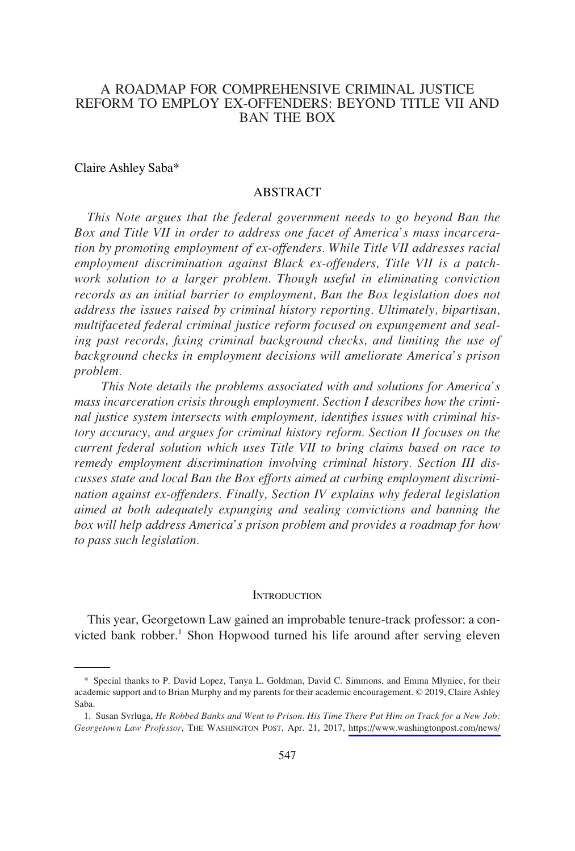# A ROADMAP FOR COMPREHENSIVE CRIMINAL JUSTICE REFORM TO EMPLOY EX-OFFENDERS: BEYOND TITLE VII AND BAN THE BOX

#### Claire Ashley Saba\*

#### ABSTRACT

*This Note argues that the federal government needs to go beyond Ban the Box and Title VII in order to address one facet of America's mass incarceration by promoting employment of ex-offenders. While Title VII addresses racial employment discrimination against Black ex-offenders, Title VII is a patch*work solution to a larger problem. Though useful in eliminating conviction *records as an initial barrier to employment, Ban the Box legislation does not address the issues raised by criminal history reporting. Ultimately, bipartisan, multifaceted federal criminal justice reform focused on expungement and sealing past records, fixing criminal background checks, and limiting the use of background checks in employment decisions will ameliorate America's prison problem.* 

*This Note details the problems associated with and solutions for America's mass incarceration crisis through employment. Section I describes how the criminal justice system intersects with employment, identifies issues with criminal history accuracy, and argues for criminal history reform. Section II focuses on the current federal solution which uses Title VII to bring claims based on race to remedy employment discrimination involving criminal history. Section III discusses state and local Ban the Box efforts aimed at curbing employment discrimination against ex-offenders. Finally, Section IV explains why federal legislation aimed at both adequately expunging and sealing convictions and banning the box will help address America's prison problem and provides a roadmap for how to pass such legislation.* 

#### **INTRODUCTION**

This year, Georgetown Law gained an improbable tenure-track professor: a convicted bank robber.<sup>1</sup> Shon Hopwood turned his life around after serving eleven

<sup>\*</sup> Special thanks to P. David Lopez, Tanya L. Goldman, David C. Simmons, and Emma Mlyniec, for their academic support and to Brian Murphy and my parents for their academic encouragement. © 2019, Claire Ashley Saba.

<sup>1.</sup> Susan Svrluga, *He Robbed Banks and Went to Prison. His Time There Put Him on Track for a New Job*: *Georgetown Law Professor*, THE WASHINGTON POST, Apr. 21, 2017, [https://www.washingtonpost.com/news/](https://www.washingtonpost.com/news/grade-point/wp/2017/04/21/bank-robber-turned-georgetown-law-professor-is-just-getting-started-on-his-goals/?utm_term=.9bb3b6f584e4)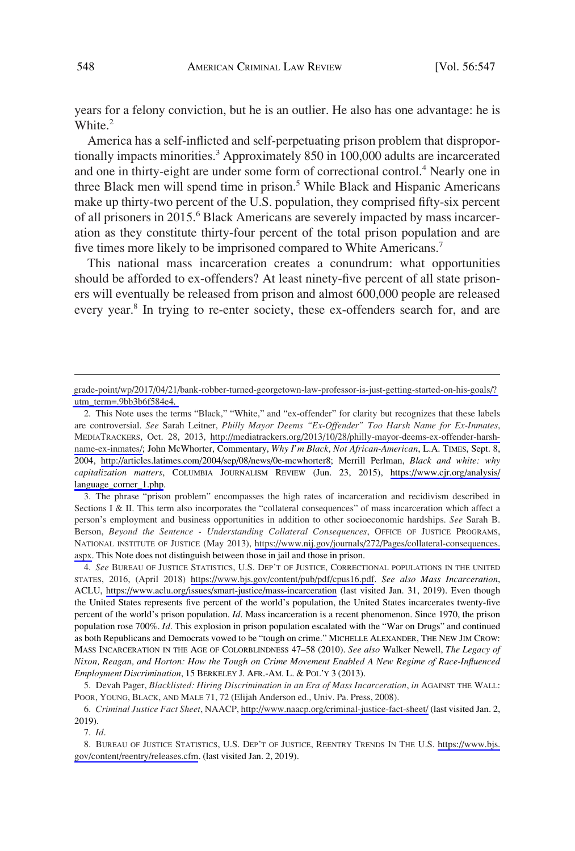years for a felony conviction, but he is an outlier. He also has one advantage: he is White.<sup>2</sup>

America has a self-inflicted and self-perpetuating prison problem that disproportionally impacts minorities.<sup>3</sup> Approximately 850 in 100,000 adults are incarcerated and one in thirty-eight are under some form of correctional control.<sup>4</sup> Nearly one in three Black men will spend time in prison.<sup>5</sup> While Black and Hispanic Americans make up thirty-two percent of the U.S. population, they comprised fifty-six percent of all prisoners in 2015.<sup>6</sup> Black Americans are severely impacted by mass incarceration as they constitute thirty-four percent of the total prison population and are five times more likely to be imprisoned compared to White Americans.<sup>7</sup>

This national mass incarceration creates a conundrum: what opportunities should be afforded to ex-offenders? At least ninety-five percent of all state prisoners will eventually be released from prison and almost 600,000 people are released every year.<sup>8</sup> In trying to re-enter society, these ex-offenders search for, and are

3. The phrase "prison problem" encompasses the high rates of incarceration and recidivism described in Sections I & II. This term also incorporates the "collateral consequences" of mass incarceration which affect a person's employment and business opportunities in addition to other socioeconomic hardships. *See* Sarah B. Berson, *Beyond the Sentence - Understanding Collateral Consequences*, OFFICE OF JUSTICE PROGRAMS, NATIONAL INSTITUTE OF JUSTICE (May 2013), [https://www.nij.gov/journals/272/Pages/collateral-consequences.](https://www.nij.gov/journals/272/Pages/collateral-consequences.aspx) [aspx.](https://www.nij.gov/journals/272/Pages/collateral-consequences.aspx) This Note does not distinguish between those in jail and those in prison.

4. See BUREAU OF JUSTICE STATISTICS, U.S. DEP'T OF JUSTICE, CORRECTIONAL POPULATIONS IN THE UNITED STATES, 2016, (April 2018) <https://www.bjs.gov/content/pub/pdf/cpus16.pdf>. *See also Mass Incarceration*, ACLU, <https://www.aclu.org/issues/smart-justice/mass-incarceration>(last visited Jan. 31, 2019). Even though the United States represents five percent of the world's population, the United States incarcerates twenty-five percent of the world's prison population. *Id*. Mass incarceration is a recent phenomenon. Since 1970, the prison population rose 700%. *Id*. This explosion in prison population escalated with the "War on Drugs" and continued as both Republicans and Democrats vowed to be "tough on crime." MICHELLE ALEXANDER, THE NEW JIM CROW: MASS INCARCERATION IN THE AGE OF COLORBLINDNESS 47–58 (2010). *See also* Walker Newell, *The Legacy of Nixon, Reagan, and Horton: How the Tough on Crime Movement Enabled A New Regime of Race-Influenced Employment Discrimination*, 15 BERKELEY J. AFR.-AM. L. & POL'Y 3 (2013).

5. Devah Pager, *Blacklisted: Hiring Discrimination in an Era of Mass Incarceration*, *in* AGAINST THE WALL: POOR, YOUNG, BLACK, AND MALE 71, 72 (Elijah Anderson ed., Univ. Pa. Press, 2008).

*Criminal Justice Fact Sheet*, NAACP,<http://www.naacp.org/criminal-justice-fact-sheet/> (last visited Jan. 2, 6. 2019).

7. *Id*.

8. BUREAU OF JUSTICE STATISTICS, U.S. DEP'T OF JUSTICE, REENTRY TRENDS IN THE U.S. [https://www.bjs.](https://www.bjs.gov/content/reentry/releases.cfm) [gov/content/reentry/releases.cfm.](https://www.bjs.gov/content/reentry/releases.cfm) (last visited Jan. 2, 2019).

[grade-point/wp/2017/04/21/bank-robber-turned-georgetown-law-professor-is-just-getting-started-on-his-goals/?](https://www.washingtonpost.com/news/grade-point/wp/2017/04/21/bank-robber-turned-georgetown-law-professor-is-just-getting-started-on-his-goals/?utm_term=.9bb3b6f584e4)  [utm\\_term=.9bb3b6f584e4.](https://www.washingtonpost.com/news/grade-point/wp/2017/04/21/bank-robber-turned-georgetown-law-professor-is-just-getting-started-on-his-goals/?utm_term=.9bb3b6f584e4) 

<sup>2.</sup> This Note uses the terms "Black," "White," and "ex-offender" for clarity but recognizes that these labels are controversial. *See* Sarah Leitner, *Philly Mayor Deems "Ex-Offender" Too Harsh Name for Ex-Inmates*, MEDIATRACKERS, Oct. 28, 2013, [http://mediatrackers.org/2013/10/28/philly-mayor-deems-ex-offender-harsh](http://mediatrackers.org/2013/10/28/philly-mayor-deems-ex-offender-harsh-name-ex-inmates/)[name-ex-inmates/](http://mediatrackers.org/2013/10/28/philly-mayor-deems-ex-offender-harsh-name-ex-inmates/); John McWhorter, Commentary, *Why I'm Black, Not African-American*, L.A. TIMES, Sept. 8, 2004, [http://articles.latimes.com/2004/sep/08/news/0e-mcwhorter8;](http://articles.latimes.com/2004/sep/08/news/0e-mcwhorter8) Merrill Perlman, *Black and white: why capitalization matters*, COLUMBIA JOURNALISM REVIEW (Jun. 23, 2015), [https://www.cjr.org/analysis/](https://www.cjr.org/analysis/language_corner_1.php)  [language\\_corner\\_1.php](https://www.cjr.org/analysis/language_corner_1.php).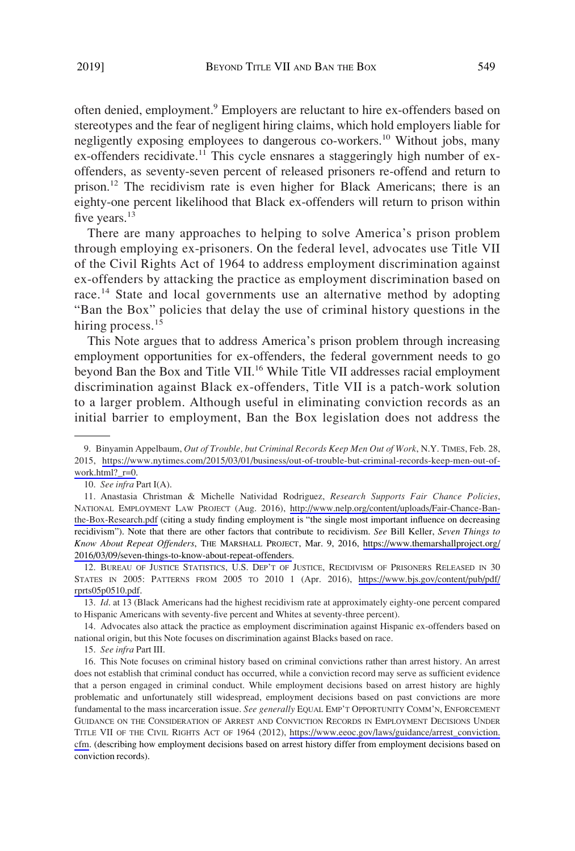often denied, employment.<sup>9</sup> Employers are reluctant to hire ex-offenders based on stereotypes and the fear of negligent hiring claims, which hold employers liable for negligently exposing employees to dangerous co-workers.<sup>10</sup> Without jobs, many ex-offenders recidivate.<sup>11</sup> This cycle ensnares a staggeringly high number of exoffenders, as seventy-seven percent of released prisoners re-offend and return to prison.<sup>12</sup> The recidivism rate is even higher for Black Americans; there is an eighty-one percent likelihood that Black ex-offenders will return to prison within five years.<sup>13</sup>

There are many approaches to helping to solve America's prison problem through employing ex-prisoners. On the federal level, advocates use Title VII of the Civil Rights Act of 1964 to address employment discrimination against ex-offenders by attacking the practice as employment discrimination based on race.<sup>14</sup> State and local governments use an alternative method by adopting "Ban the Box" policies that delay the use of criminal history questions in the hiring process.<sup>15</sup>

This Note argues that to address America's prison problem through increasing employment opportunities for ex-offenders, the federal government needs to go beyond Ban the Box and Title VII.<sup>16</sup> While Title VII addresses racial employment discrimination against Black ex-offenders, Title VII is a patch-work solution to a larger problem. Although useful in eliminating conviction records as an initial barrier to employment, Ban the Box legislation does not address the

<sup>9.</sup> Binyamin Appelbaum, Out of Trouble, but Criminal Records Keep Men Out of Work, N.Y. TIMES, Feb. 28, 2015, [https://www.nytimes.com/2015/03/01/business/out-of-trouble-but-criminal-records-keep-men-out-of](https://www.nytimes.com/2015/03/01/business/out-of-trouble-but-criminal-records-keep-men-out-of-work.html?_r=0)[work.html?\\_r=0.](https://www.nytimes.com/2015/03/01/business/out-of-trouble-but-criminal-records-keep-men-out-of-work.html?_r=0)

<sup>10.</sup> *See infra* Part I(A).

Anastasia Christman & Michelle Natividad Rodriguez, *Research Supports Fair Chance Policies*, 11. NATIONAL EMPLOYMENT LAW PROJECT (Aug. 2016), [http://www.nelp.org/content/uploads/Fair-Chance-Ban](http://www.nelp.org/content/uploads/Fair-Chance-Ban-the-Box-Research.pdf)[the-Box-Research.pdf](http://www.nelp.org/content/uploads/Fair-Chance-Ban-the-Box-Research.pdf) (citing a study finding employment is "the single most important influence on decreasing recidivism"). Note that there are other factors that contribute to recidivism. *See* Bill Keller, *Seven Things to Know About Repeat Offenders*, THE MARSHALL PROJECT, Mar. 9, 2016, [https://www.themarshallproject.org/](https://www.themarshallproject.org/2016/03/09/seven-things-to-know-about-repeat-offenders)  [2016/03/09/seven-things-to-know-about-repeat-offenders.](https://www.themarshallproject.org/2016/03/09/seven-things-to-know-about-repeat-offenders)

<sup>12.</sup> BUREAU OF JUSTICE STATISTICS, U.S. DEP'T OF JUSTICE, RECIDIVISM OF PRISONERS RELEASED IN 30 STATES IN 2005: PATTERNS FROM 2005 TO 2010 1 (Apr. 2016), [https://www.bjs.gov/content/pub/pdf/](https://www.bjs.gov/content/pub/pdf/rprts05p0510.pdf) [rprts05p0510.pdf](https://www.bjs.gov/content/pub/pdf/rprts05p0510.pdf).

<sup>13.</sup> *Id*. at 13 (Black Americans had the highest recidivism rate at approximately eighty-one percent compared to Hispanic Americans with seventy-five percent and Whites at seventy-three percent).

<sup>14.</sup> Advocates also attack the practice as employment discrimination against Hispanic ex-offenders based on national origin, but this Note focuses on discrimination against Blacks based on race.

<sup>15.</sup> *See infra* Part III.

<sup>16.</sup> This Note focuses on criminal history based on criminal convictions rather than arrest history. An arrest does not establish that criminal conduct has occurred, while a conviction record may serve as sufficient evidence that a person engaged in criminal conduct. While employment decisions based on arrest history are highly problematic and unfortunately still widespread, employment decisions based on past convictions are more fundamental to the mass incarceration issue. *See generally* EQUAL EMP'T OPPORTUNITY COMM'N, ENFORCEMENT GUIDANCE ON THE CONSIDERATION OF ARREST AND CONVICTION RECORDS IN EMPLOYMENT DECISIONS UNDER TITLE VII OF THE CIVIL RIGHTS ACT OF 1964 (2012), [https://www.eeoc.gov/laws/guidance/arrest\\_conviction.](https://www.eeoc.gov/laws/guidance/arrest_conviction.cfm) [cfm](https://www.eeoc.gov/laws/guidance/arrest_conviction.cfm). (describing how employment decisions based on arrest history differ from employment decisions based on conviction records).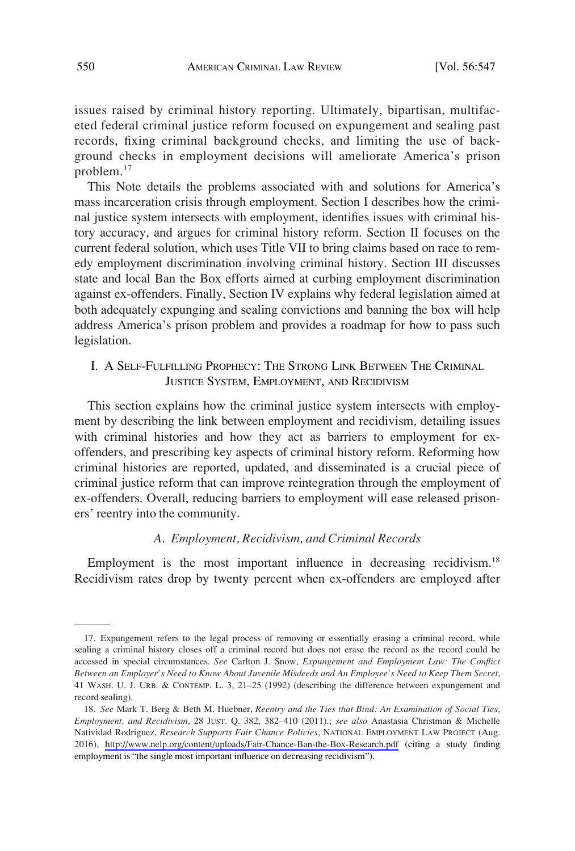issues raised by criminal history reporting. Ultimately, bipartisan, multifaceted federal criminal justice reform focused on expungement and sealing past records, fixing criminal background checks, and limiting the use of background checks in employment decisions will ameliorate America's prison problem.<sup>17</sup>

This Note details the problems associated with and solutions for America's mass incarceration crisis through employment. Section I describes how the criminal justice system intersects with employment, identifies issues with criminal history accuracy, and argues for criminal history reform. Section II focuses on the current federal solution, which uses Title VII to bring claims based on race to remedy employment discrimination involving criminal history. Section III discusses state and local Ban the Box efforts aimed at curbing employment discrimination against ex-offenders. Finally, Section IV explains why federal legislation aimed at both adequately expunging and sealing convictions and banning the box will help address America's prison problem and provides a roadmap for how to pass such legislation.

# I. A SELF-FULFILLING PROPHECY: THE STRONG LINK BETWEEN THE CRIMINAL JUSTICE SYSTEM, EMPLOYMENT, AND RECIDIVISM

This section explains how the criminal justice system intersects with employment by describing the link between employment and recidivism, detailing issues with criminal histories and how they act as barriers to employment for exoffenders, and prescribing key aspects of criminal history reform. Reforming how criminal histories are reported, updated, and disseminated is a crucial piece of criminal justice reform that can improve reintegration through the employment of ex-offenders. Overall, reducing barriers to employment will ease released prisoners' reentry into the community.

### *A. Employment, Recidivism, and Criminal Records*

Employment is the most important influence in decreasing recidivism.<sup>18</sup> Recidivism rates drop by twenty percent when ex-offenders are employed after

<sup>17.</sup> Expungement refers to the legal process of removing or essentially erasing a criminal record, while sealing a criminal history closes off a criminal record but does not erase the record as the record could be accessed in special circumstances. *See* Carlton J. Snow, *Expungement and Employment Law: The Conflict Between an Employer's Need to Know About Juvenile Misdeeds and An Employee's Need to Keep Them Secret*, 41 WASH. U. J. URB. & CONTEMP. L. 3, 21–25 (1992) (describing the difference between expungement and record sealing).

*See* Mark T. Berg & Beth M. Huebner, *Reentry and the Ties that Bind: An Examination of Social Ties,*  18. *Employment, and Recidivism*, 28 JUST. Q. 382, 382–410 (2011).; *see also* Anastasia Christman & Michelle Natividad Rodriguez, *Research Supports Fair Chance Policies*, NATIONAL EMPLOYMENT LAW PROJECT (Aug. 2016), <http://www.nelp.org/content/uploads/Fair-Chance-Ban-the-Box-Research.pdf> (citing a study finding employment is "the single most important influence on decreasing recidivism").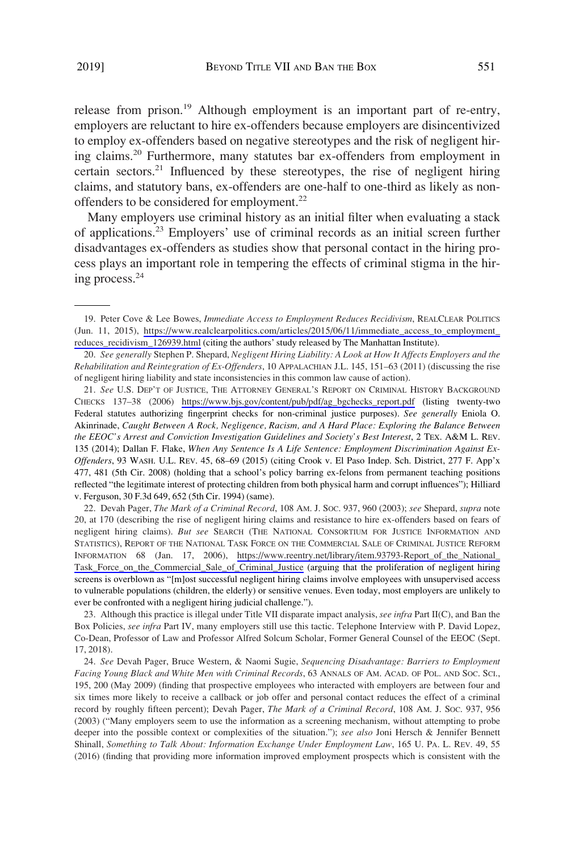release from prison.<sup>19</sup> Although employment is an important part of re-entry, employers are reluctant to hire ex-offenders because employers are disincentivized to employ ex-offenders based on negative stereotypes and the risk of negligent hiring claims.20 Furthermore, many statutes bar ex-offenders from employment in certain sectors.<sup>21</sup> Influenced by these stereotypes, the rise of negligent hiring claims, and statutory bans, ex-offenders are one-half to one-third as likely as nonoffenders to be considered for employment.<sup>22</sup>

Many employers use criminal history as an initial filter when evaluating a stack of applications.23 Employers' use of criminal records as an initial screen further disadvantages ex-offenders as studies show that personal contact in the hiring process plays an important role in tempering the effects of criminal stigma in the hiring process.<sup>24</sup>

Devah Pager, *The Mark of a Criminal Record*, 108 AM. J. SOC. 937, 960 (2003); *see* Shepard, *supra* note 22. 20, at 170 (describing the rise of negligent hiring claims and resistance to hire ex-offenders based on fears of negligent hiring claims). *But see* SEARCH (THE NATIONAL CONSORTIUM FOR JUSTICE INFORMATION AND STATISTICS), REPORT OF THE NATIONAL TASK FORCE ON THE COMMERCIAL SALE OF CRIMINAL JUSTICE REFORM INFORMATION 68 (Jan. 17, 2006), [https://www.reentry.net/library/item.93793-Report\\_of\\_the\\_National\\_](https://www.reentry.net/library/item.93793-Report_of_the_National_Task_Force_on_the_Commercial_Sale_of_Criminal_Justice) Task Force on the Commercial Sale of Criminal Justice (arguing that the proliferation of negligent hiring screens is overblown as "[m]ost successful negligent hiring claims involve employees with unsupervised access to vulnerable populations (children, the elderly) or sensitive venues. Even today, most employers are unlikely to ever be confronted with a negligent hiring judicial challenge.").

23. Although this practice is illegal under Title VII disparate impact analysis, *see infra* Part II(C), and Ban the Box Policies, *see infra* Part IV, many employers still use this tactic. Telephone Interview with P. David Lopez, Co-Dean, Professor of Law and Professor Alfred Solcum Scholar, Former General Counsel of the EEOC (Sept. 17, 2018).

<sup>19.</sup> Peter Cove & Lee Bowes, *Immediate Access to Employment Reduces Recidivism*, REALCLEAR POLITICS (Jun. 11, 2015), [https://www.realclearpolitics.com/articles/2015/06/11/immediate\\_access\\_to\\_employment\\_](https://www.realclearpolitics.com/articles/2015/06/11/immediate_access_to_employment_reduces_recidivism_126939.html) [reduces\\_recidivism\\_126939.html](https://www.realclearpolitics.com/articles/2015/06/11/immediate_access_to_employment_reduces_recidivism_126939.html) (citing the authors' study released by The Manhattan Institute).

<sup>20.</sup> *See generally* Stephen P. Shepard, *Negligent Hiring Liability: A Look at How It Affects Employers and the Rehabilitation and Reintegration of Ex-Offenders*, 10 APPALACHIAN J.L. 145, 151–63 (2011) (discussing the rise of negligent hiring liability and state inconsistencies in this common law cause of action).

*See* U.S. DEP'T OF JUSTICE, THE ATTORNEY GENERAL'S REPORT ON CRIMINAL HISTORY BACKGROUND 21. CHECKS 137–38 (2006) [https://www.bjs.gov/content/pub/pdf/ag\\_bgchecks\\_report.pdf](https://www.bjs.gov/content/pub/pdf/ag_bgchecks_report.pdf) (listing twenty-two Federal statutes authorizing fingerprint checks for non-criminal justice purposes). *See generally* Eniola O. Akinrinade, *Caught Between A Rock, Negligence, Racism, and A Hard Place: Exploring the Balance Between the EEOC's Arrest and Conviction Investigation Guidelines and Society's Best Interest*, 2 TEX. A&M L. REV. 135 (2014); Dallan F. Flake, *When Any Sentence Is A Life Sentence: Employment Discrimination Against Ex-Offenders*, 93 WASH. U.L. REV. 45, 68–69 (2015) (citing Crook v. El Paso Indep. Sch. District, 277 F. App'x 477, 481 (5th Cir. 2008) (holding that a school's policy barring ex-felons from permanent teaching positions reflected "the legitimate interest of protecting children from both physical harm and corrupt influences"); Hilliard v. Ferguson, 30 F.3d 649, 652 (5th Cir. 1994) (same).

<sup>24.</sup> *See* Devah Pager, Bruce Western, & Naomi Sugie, *Sequencing Disadvantage: Barriers to Employment Facing Young Black and White Men with Criminal Records*, 63 ANNALS OF AM. ACAD. OF POL. AND SOC. SCI., 195, 200 (May 2009) (finding that prospective employees who interacted with employers are between four and six times more likely to receive a callback or job offer and personal contact reduces the effect of a criminal record by roughly fifteen percent); Devah Pager, *The Mark of a Criminal Record*, 108 AM. J. SOC. 937, 956 (2003) ("Many employers seem to use the information as a screening mechanism, without attempting to probe deeper into the possible context or complexities of the situation."); *see also* Joni Hersch & Jennifer Bennett Shinall, *Something to Talk About: Information Exchange Under Employment Law*, 165 U. PA. L. REV. 49, 55 (2016) (finding that providing more information improved employment prospects which is consistent with the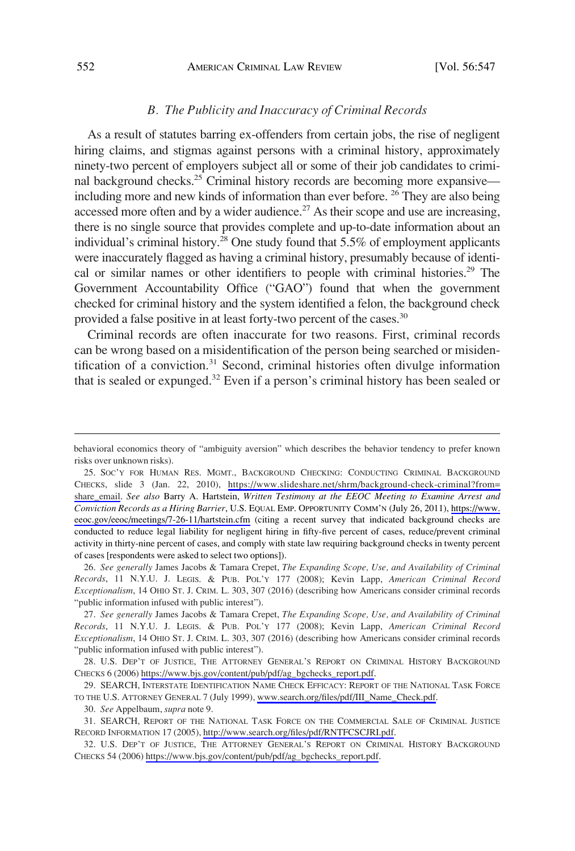#### *B. The Publicity and Inaccuracy of Criminal Records*

As a result of statutes barring ex-offenders from certain jobs, the rise of negligent hiring claims, and stigmas against persons with a criminal history, approximately ninety-two percent of employers subject all or some of their job candidates to criminal background checks.<sup>25</sup> Criminal history records are becoming more expansive including more and new kinds of information than ever before. 26 They are also being accessed more often and by a wider audience.<sup>27</sup> As their scope and use are increasing, there is no single source that provides complete and up-to-date information about an individual's criminal history.<sup>28</sup> One study found that 5.5% of employment applicants were inaccurately flagged as having a criminal history, presumably because of identical or similar names or other identifiers to people with criminal histories.<sup>29</sup> The Government Accountability Office ("GAO") found that when the government checked for criminal history and the system identified a felon, the background check provided a false positive in at least forty-two percent of the cases.<sup>30</sup>

Criminal records are often inaccurate for two reasons. First, criminal records can be wrong based on a misidentification of the person being searched or misidentification of a conviction.<sup>31</sup> Second, criminal histories often divulge information that is sealed or expunged.<sup>32</sup> Even if a person's criminal history has been sealed or

29. SEARCH, INTERSTATE IDENTIFICATION NAME CHECK EFFICACY: REPORT OF THE NATIONAL TASK FORCE TO THE U.S. ATTORNEY GENERAL 7 (July 1999), [www.search.org/files/pdf/III\\_Name\\_Check.pdf.](http://www.search.org/files/pdf/III_Name_Check.pdf)

behavioral economics theory of "ambiguity aversion" which describes the behavior tendency to prefer known risks over unknown risks).

<sup>25.</sup> Soc'y for Human Res. Mgmt., Background Checking: Conducting Criminal Background CHECKS, slide 3 (Jan. 22, 2010), [https://www.slideshare.net/shrm/background-check-criminal?from=](https://www.slideshare.net/shrm/background-check-criminal?from=share_email) share email. *See also* Barry A. Hartstein, *Written Testimony at the EEOC Meeting to Examine Arrest and Conviction Records as a Hiring Barrier*, U.S. EQUAL EMP. OPPORTUNITY COMM'N (July 26, 2011), [https://www.](https://www.eeoc.gov/eeoc/meetings/7-26-11/hartstein.cfm)  [eeoc.gov/eeoc/meetings/7-26-11/hartstein.cfm](https://www.eeoc.gov/eeoc/meetings/7-26-11/hartstein.cfm) (citing a recent survey that indicated background checks are conducted to reduce legal liability for negligent hiring in fifty-five percent of cases, reduce/prevent criminal activity in thirty-nine percent of cases, and comply with state law requiring background checks in twenty percent of cases [respondents were asked to select two options]).

<sup>26.</sup> *See generally* James Jacobs & Tamara Crepet, *The Expanding Scope, Use, and Availability of Criminal Records*, 11 N.Y.U. J. LEGIS. & PUB. POL'Y 177 (2008); Kevin Lapp, *American Criminal Record Exceptionalism*, 14 OHIO ST. J. CRIM. L. 303, 307 (2016) (describing how Americans consider criminal records "public information infused with public interest").

<sup>27.</sup> *See generally* James Jacobs & Tamara Crepet, *The Expanding Scope, Use, and Availability of Criminal Records*, 11 N.Y.U. J. LEGIS. & PUB. POL'Y 177 (2008); Kevin Lapp, *American Criminal Record Exceptionalism*, 14 OHIO ST. J. CRIM. L. 303, 307 (2016) (describing how Americans consider criminal records "public information infused with public interest").

<sup>28.</sup> U.S. DEP'T OF JUSTICE, THE ATTORNEY GENERAL'S REPORT ON CRIMINAL HISTORY BACKGROUND CHECKS 6 (2006) [https://www.bjs.gov/content/pub/pdf/ag\\_bgchecks\\_report.pdf](https://www.bjs.gov/content/pub/pdf/ag_bgchecks_report.pdf).

<sup>30.</sup> *See* Appelbaum, *supra* note 9.

SEARCH, REPORT OF THE NATIONAL TASK FORCE ON THE COMMERCIAL SALE OF CRIMINAL JUSTICE 31. RECORD INFORMATION 17 (2005),<http://www.search.org/files/pdf/RNTFCSCJRI.pdf>.

U.S. DEP'T OF JUSTICE, THE ATTORNEY GENERAL'S REPORT ON CRIMINAL HISTORY BACKGROUND 32. CHECKS 54 (2006) [https://www.bjs.gov/content/pub/pdf/ag\\_bgchecks\\_report.pdf](https://www.bjs.gov/content/pub/pdf/ag_bgchecks_report.pdf).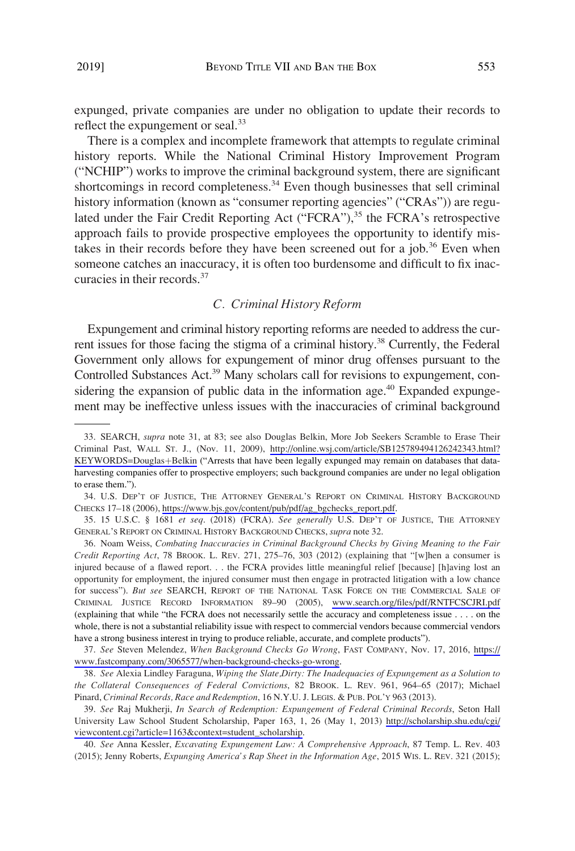expunged, private companies are under no obligation to update their records to reflect the expungement or seal.<sup>33</sup>

There is a complex and incomplete framework that attempts to regulate criminal history reports. While the National Criminal History Improvement Program ("NCHIP") works to improve the criminal background system, there are significant shortcomings in record completeness.<sup>34</sup> Even though businesses that sell criminal history information (known as "consumer reporting agencies" ("CRAs")) are regulated under the Fair Credit Reporting Act ("FCRA"),<sup>35</sup> the FCRA's retrospective approach fails to provide prospective employees the opportunity to identify mistakes in their records before they have been screened out for a job.<sup>36</sup> Even when someone catches an inaccuracy, it is often too burdensome and difficult to fix inaccuracies in their records.<sup>37</sup>

#### *C. Criminal History Reform*

Expungement and criminal history reporting reforms are needed to address the current issues for those facing the stigma of a criminal history.<sup>38</sup> Currently, the Federal Government only allows for expungement of minor drug offenses pursuant to the Controlled Substances Act.<sup>39</sup> Many scholars call for revisions to expungement, considering the expansion of public data in the information age.<sup>40</sup> Expanded expungement may be ineffective unless issues with the inaccuracies of criminal background

<sup>33.</sup> SEARCH, *supra* note 31, at 83; see also Douglas Belkin, More Job Seekers Scramble to Erase Their Criminal Past, WALL ST. J., (Nov. 11, 2009), [http://online.wsj.com/article/SB125789494126242343.html?](http://online.wsj.com/article/SB125789494126242343.html?KEYWORDS=Douglas&hx002B;Belkin) [KEYWORDS=Douglas](http://online.wsj.com/article/SB125789494126242343.html?KEYWORDS=Douglas&hx002B;Belkin)+Belkin ("Arrests that have been legally expunged may remain on databases that dataharvesting companies offer to prospective employers; such background companies are under no legal obligation to erase them.").

U.S. DEP'T OF JUSTICE, THE ATTORNEY GENERAL'S REPORT ON CRIMINAL HISTORY BACKGROUND 34. CHECKS 17–18 (2006), [https://www.bjs.gov/content/pub/pdf/ag\\_bgchecks\\_report.pdf](https://www.bjs.gov/content/pub/pdf/ag_bgchecks_report.pdf).

<sup>35. 15</sup> U.S.C. § 1681 *et seq*. (2018) (FCRA). *See generally* U.S. DEP'T OF JUSTICE, THE ATTORNEY GENERAL'S REPORT ON CRIMINAL HISTORY BACKGROUND CHECKS, *supra* note 32.

<sup>36.</sup> Noam Weiss, *Combating Inaccuracies in Criminal Background Checks by Giving Meaning to the Fair Credit Reporting Act*, 78 BROOK. L. REV. 271, 275–76, 303 (2012) (explaining that "[w]hen a consumer is injured because of a flawed report. . . the FCRA provides little meaningful relief [because] [h]aving lost an opportunity for employment, the injured consumer must then engage in protracted litigation with a low chance for success"). *But see* SEARCH, REPORT OF THE NATIONAL TASK FORCE ON THE COMMERCIAL SALE OF CRIMINAL JUSTICE RECORD INFORMATION 89–90 (2005), [www.search.org/files/pdf/RNTFCSCJRI.pdf](http://www.search.org/files/pdf/RNTFCSCJRI.pdf) (explaining that while "the FCRA does not necessarily settle the accuracy and completeness issue . . . . on the whole, there is not a substantial reliability issue with respect to commercial vendors because commercial vendors have a strong business interest in trying to produce reliable, accurate, and complete products").

*See* Steven Melendez, *When Background Checks Go Wrong*, FAST COMPANY, Nov. 17, 2016, [https://](https://www.fastcompany.com/3065577/when-background-checks-go-wrong) 37. [www.fastcompany.com/3065577/when-background-checks-go-wrong](https://www.fastcompany.com/3065577/when-background-checks-go-wrong).

<sup>38.</sup> *See* Alexia Lindley Faraguna, *Wiping the Slate,Dirty: The Inadequacies of Expungement as a Solution to the Collateral Consequences of Federal Convictions*, 82 BROOK. L. REV. 961, 964–65 (2017); Michael Pinard, *Criminal Records, Race and Redemption*, 16 N.Y.U. J. LEGIS. & PUB. POL'Y 963 (2013).

*See* Raj Mukherji, *In Search of Redemption: Expungement of Federal Criminal Records*, Seton Hall 39. University Law School Student Scholarship, Paper 163, 1, 26 (May 1, 2013) [http://scholarship.shu.edu/cgi/](http://scholarship.shu.edu/cgi/viewcontent.cgi?article=1163&context=student_scholarship) [viewcontent.cgi?article=1163&context=student\\_scholarship.](http://scholarship.shu.edu/cgi/viewcontent.cgi?article=1163&context=student_scholarship)

<sup>40.</sup> *See* Anna Kessler, *Excavating Expungement Law: A Comprehensive Approach*, 87 Temp. L. Rev. 403 (2015); Jenny Roberts, *Expunging America's Rap Sheet in the Information Age*, 2015 WIS. L. REV. 321 (2015);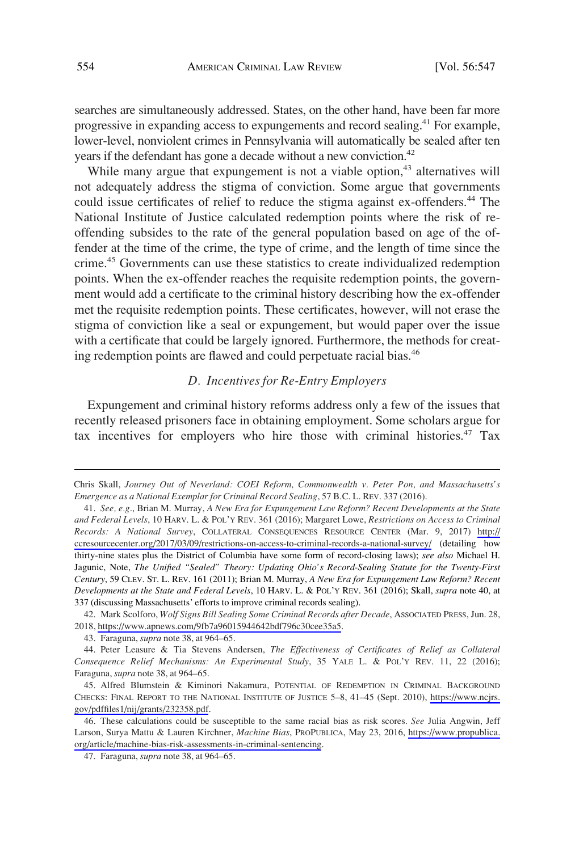searches are simultaneously addressed. States, on the other hand, have been far more progressive in expanding access to expungements and record sealing.<sup>41</sup> For example, lower-level, nonviolent crimes in Pennsylvania will automatically be sealed after ten years if the defendant has gone a decade without a new conviction.<sup>42</sup>

While many argue that expungement is not a viable option,<sup>43</sup> alternatives will not adequately address the stigma of conviction. Some argue that governments could issue certificates of relief to reduce the stigma against ex-offenders.<sup>44</sup> The National Institute of Justice calculated redemption points where the risk of reoffending subsides to the rate of the general population based on age of the offender at the time of the crime, the type of crime, and the length of time since the crime.45 Governments can use these statistics to create individualized redemption points. When the ex-offender reaches the requisite redemption points, the government would add a certificate to the criminal history describing how the ex-offender met the requisite redemption points. These certificates, however, will not erase the stigma of conviction like a seal or expungement, but would paper over the issue with a certificate that could be largely ignored. Furthermore, the methods for creating redemption points are flawed and could perpetuate racial bias.<sup>46</sup>

### *D. Incentives for Re-Entry Employers*

Expungement and criminal history reforms address only a few of the issues that recently released prisoners face in obtaining employment. Some scholars argue for tax incentives for employers who hire those with criminal histories.<sup>47</sup> Tax

42. Mark Scolforo, *Wolf Signs Bill Sealing Some Criminal Records after Decade*, Associated Press, Jun. 28, 2018, [https://www.apnews.com/9fb7a96015944642bdf796c30cee35a5.](https://www.apnews.com/9fb7a96015944642bdf796c30cee35a5)

43. Faraguna, *supra* note 38, at 964–65.

Chris Skall, *Journey Out of Neverland: COEI Reform, Commonwealth v. Peter Pon, and Massachusetts's Emergence as a National Exemplar for Criminal Record Sealing*, 57 B.C. L. REV. 337 (2016).

*See, e.g*., Brian M. Murray, *A New Era for Expungement Law Reform? Recent Developments at the State*  41. *and Federal Levels*, 10 HARV. L. & POL'Y REV. 361 (2016); Margaret Lowe, *Restrictions on Access to Criminal Records: A National Survey*, COLLATERAL CONSEQUENCES RESOURCE CENTER (Mar. 9, 2017) [http://](http://ccresourcecenter.org/2017/03/09/restrictions-on-access-to-criminal-records-a-national-survey/) [ccresourcecenter.org/2017/03/09/restrictions-on-access-to-criminal-records-a-national-survey/](http://ccresourcecenter.org/2017/03/09/restrictions-on-access-to-criminal-records-a-national-survey/) (detailing how thirty-nine states plus the District of Columbia have some form of record-closing laws); *see also* Michael H. Jagunic, Note, *The Unified "Sealed" Theory: Updating Ohio's Record-Sealing Statute for the Twenty-First Century*, 59 CLEV. ST. L. REV. 161 (2011); Brian M. Murray, *A New Era for Expungement Law Reform? Recent Developments at the State and Federal Levels*, 10 HARV. L. & POL'Y REV. 361 (2016); Skall, *supra* note 40, at 337 (discussing Massachusetts' efforts to improve criminal records sealing).

<sup>44.</sup> Peter Leasure & Tia Stevens Andersen, *The Effectiveness of Certificates of Relief as Collateral Consequence Relief Mechanisms: An Experimental Study*, 35 YALE L. & POL'Y REV. 11, 22 (2016); Faraguna, *supra* note 38, at 964–65.

<sup>45.</sup> Alfred Blumstein & Kiminori Nakamura, POTENTIAL OF REDEMPTION IN CRIMINAL BACKGROUND CHECKS: FINAL REPORT TO THE NATIONAL INSTITUTE OF JUSTICE 5–8, 41–45 (Sept. 2010), [https://www.ncjrs.](https://www.ncjrs.gov/pdffiles1/nij/grants/232358.pdf) [gov/pdffiles1/nij/grants/232358.pdf](https://www.ncjrs.gov/pdffiles1/nij/grants/232358.pdf).

These calculations could be susceptible to the same racial bias as risk scores. *See* Julia Angwin, Jeff 46. Larson, Surya Mattu & Lauren Kirchner, *Machine Bias*, PROPUBLICA, May 23, 2016, [https://www.propublica.](https://www.propublica.org/article/machine-bias-risk-assessments-in-criminal-sentencing) [org/article/machine-bias-risk-assessments-in-criminal-sentencing.](https://www.propublica.org/article/machine-bias-risk-assessments-in-criminal-sentencing)

<sup>47.</sup> Faraguna, *supra* note 38, at 964–65.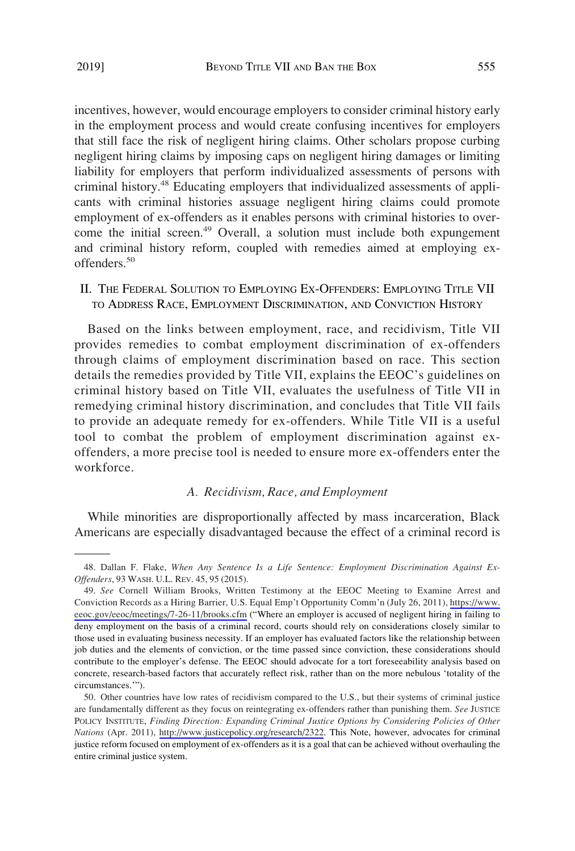incentives, however, would encourage employers to consider criminal history early in the employment process and would create confusing incentives for employers that still face the risk of negligent hiring claims. Other scholars propose curbing negligent hiring claims by imposing caps on negligent hiring damages or limiting liability for employers that perform individualized assessments of persons with criminal history.48 Educating employers that individualized assessments of applicants with criminal histories assuage negligent hiring claims could promote employment of ex-offenders as it enables persons with criminal histories to overcome the initial screen.<sup>49</sup> Overall, a solution must include both expungement and criminal history reform, coupled with remedies aimed at employing exoffenders.<sup>50</sup>

II. THE FEDERAL SOLUTION TO EMPLOYING EX-OFFENDERS: EMPLOYING TITLE VII TO ADDRESS RACE, EMPLOYMENT DISCRIMINATION, AND CONVICTION HISTORY

Based on the links between employment, race, and recidivism, Title VII provides remedies to combat employment discrimination of ex-offenders through claims of employment discrimination based on race. This section details the remedies provided by Title VII, explains the EEOC's guidelines on criminal history based on Title VII, evaluates the usefulness of Title VII in remedying criminal history discrimination, and concludes that Title VII fails to provide an adequate remedy for ex-offenders. While Title VII is a useful tool to combat the problem of employment discrimination against exoffenders, a more precise tool is needed to ensure more ex-offenders enter the workforce.

### *A. Recidivism, Race, and Employment*

While minorities are disproportionally affected by mass incarceration, Black Americans are especially disadvantaged because the effect of a criminal record is

<sup>48.</sup> Dallan F. Flake, *When Any Sentence Is a Life Sentence: Employment Discrimination Against Ex-Offenders*, 93 WASH. U.L. REV. 45, 95 (2015).

<sup>49.</sup> See Cornell William Brooks, Written Testimony at the EEOC Meeting to Examine Arrest and Conviction Records as a Hiring Barrier, U.S. Equal Emp't Opportunity Comm'n (July 26, 2011), [https://www.](https://www.eeoc.gov/eeoc/meetings/7-26-11/brooks.cfm) [eeoc.gov/eeoc/meetings/7-26-11/brooks.cfm](https://www.eeoc.gov/eeoc/meetings/7-26-11/brooks.cfm) ("Where an employer is accused of negligent hiring in failing to deny employment on the basis of a criminal record, courts should rely on considerations closely similar to those used in evaluating business necessity. If an employer has evaluated factors like the relationship between job duties and the elements of conviction, or the time passed since conviction, these considerations should contribute to the employer's defense. The EEOC should advocate for a tort foreseeability analysis based on concrete, research-based factors that accurately reflect risk, rather than on the more nebulous 'totality of the circumstances.'").

<sup>50.</sup> Other countries have low rates of recidivism compared to the U.S., but their systems of criminal justice are fundamentally different as they focus on reintegrating ex-offenders rather than punishing them. *See* JUSTICE POLICY INSTITUTE, *Finding Direction: Expanding Criminal Justice Options by Considering Policies of Other Nations* (Apr. 2011), [http://www.justicepolicy.org/research/2322.](http://www.justicepolicy.org/research/2322) This Note, however, advocates for criminal justice reform focused on employment of ex-offenders as it is a goal that can be achieved without overhauling the entire criminal justice system.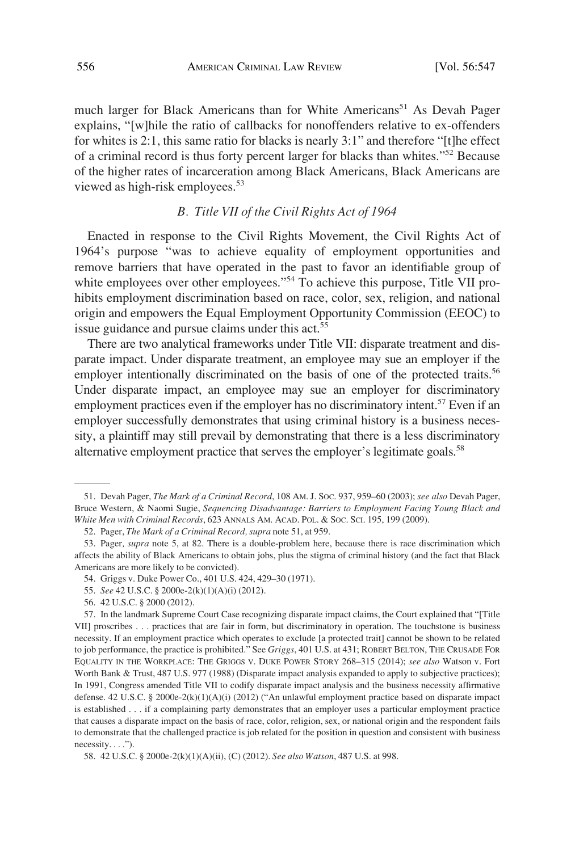much larger for Black Americans than for White Americans<sup>51</sup> As Devah Pager explains, "[w]hile the ratio of callbacks for nonoffenders relative to ex-offenders for whites is 2:1, this same ratio for blacks is nearly 3:1" and therefore "[t]he effect of a criminal record is thus forty percent larger for blacks than whites."52 Because of the higher rates of incarceration among Black Americans, Black Americans are viewed as high-risk employees.<sup>53</sup>

#### *B. Title VII of the Civil Rights Act of 1964*

Enacted in response to the Civil Rights Movement, the Civil Rights Act of 1964's purpose "was to achieve equality of employment opportunities and remove barriers that have operated in the past to favor an identifiable group of white employees over other employees."<sup>54</sup> To achieve this purpose, Title VII prohibits employment discrimination based on race, color, sex, religion, and national origin and empowers the Equal Employment Opportunity Commission (EEOC) to issue guidance and pursue claims under this act.<sup>55</sup>

There are two analytical frameworks under Title VII: disparate treatment and disparate impact. Under disparate treatment, an employee may sue an employer if the employer intentionally discriminated on the basis of one of the protected traits.<sup>56</sup> Under disparate impact, an employee may sue an employer for discriminatory employment practices even if the employer has no discriminatory intent.<sup>57</sup> Even if an employer successfully demonstrates that using criminal history is a business necessity, a plaintiff may still prevail by demonstrating that there is a less discriminatory alternative employment practice that serves the employer's legitimate goals.<sup>58</sup>

<sup>51.</sup> Devah Pager, *The Mark of a Criminal Record*, 108 AM. J. SOC. 937, 959–60 (2003); *see also* Devah Pager, Bruce Western, & Naomi Sugie, *Sequencing Disadvantage: Barriers to Employment Facing Young Black and White Men with Criminal Records*, 623 ANNALS AM. ACAD. POL. & SOC. SCI. 195, 199 (2009).

<sup>52.</sup> Pager, *The Mark of a Criminal Record, supra* note 51, at 959.

<sup>53.</sup> Pager*, supra* note 5, at 82. There is a double-problem here, because there is race discrimination which affects the ability of Black Americans to obtain jobs, plus the stigma of criminal history (and the fact that Black Americans are more likely to be convicted).

<sup>54.</sup> Griggs v. Duke Power Co., 401 U.S. 424, 429–30 (1971).

<sup>55.</sup> *See* 42 U.S.C. § 2000e-2(k)(1)(A)(i) (2012).

<sup>56. 42</sup> U.S.C. § 2000 (2012).

<sup>57.</sup> In the landmark Supreme Court Case recognizing disparate impact claims, the Court explained that "[Title VII] proscribes . . . practices that are fair in form, but discriminatory in operation. The touchstone is business necessity. If an employment practice which operates to exclude [a protected trait] cannot be shown to be related to job performance, the practice is prohibited." See *Griggs*, 401 U.S. at 431; ROBERT BELTON, THE CRUSADE FOR EQUALITY IN THE WORKPLACE: THE GRIGGS V. DUKE POWER STORY 268–315 (2014); *see also* Watson v. Fort Worth Bank & Trust, 487 U.S. 977 (1988) (Disparate impact analysis expanded to apply to subjective practices); In 1991, Congress amended Title VII to codify disparate impact analysis and the business necessity affirmative defense. 42 U.S.C. § 2000e-2(k)(1)(A)(i) (2012) ("An unlawful employment practice based on disparate impact is established . . . if a complaining party demonstrates that an employer uses a particular employment practice that causes a disparate impact on the basis of race, color, religion, sex, or national origin and the respondent fails to demonstrate that the challenged practice is job related for the position in question and consistent with business necessity. . . .").

<sup>58. 42</sup> U.S.C. § 2000e-2(k)(1)(A)(ii), (C) (2012). *See also Watson*, 487 U.S. at 998.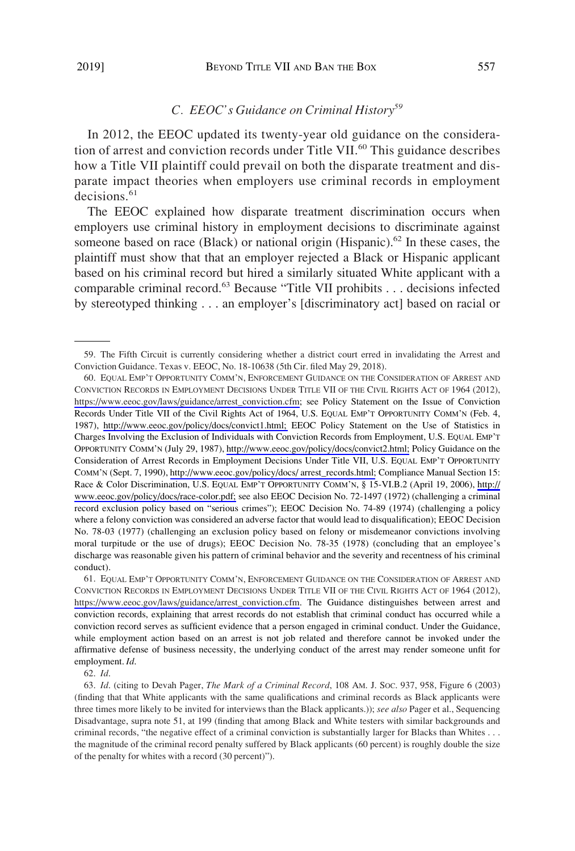## *C. EEOC's Guidance on Criminal History<sup>59</sup>*

In 2012, the EEOC updated its twenty-year old guidance on the consideration of arrest and conviction records under Title VII.<sup>60</sup> This guidance describes how a Title VII plaintiff could prevail on both the disparate treatment and disparate impact theories when employers use criminal records in employment  $decisions.<sup>61</sup>$ 

The EEOC explained how disparate treatment discrimination occurs when employers use criminal history in employment decisions to discriminate against someone based on race (Black) or national origin (Hispanic). $62$  In these cases, the plaintiff must show that that an employer rejected a Black or Hispanic applicant based on his criminal record but hired a similarly situated White applicant with a comparable criminal record.63 Because "Title VII prohibits . . . decisions infected by stereotyped thinking . . . an employer's [discriminatory act] based on racial or

61. EQUAL EMP'T OPPORTUNITY COMM'N, ENFORCEMENT GUIDANCE ON THE CONSIDERATION OF ARREST AND CONVICTION RECORDS IN EMPLOYMENT DECISIONS UNDER TITLE VII OF THE CIVIL RIGHTS ACT OF 1964 (2012), [https://www.eeoc.gov/laws/guidance/arrest\\_conviction.cfm](https://www.eeoc.gov/laws/guidance/arrest_conviction.cfm). The Guidance distinguishes between arrest and conviction records, explaining that arrest records do not establish that criminal conduct has occurred while a conviction record serves as sufficient evidence that a person engaged in criminal conduct. Under the Guidance, while employment action based on an arrest is not job related and therefore cannot be invoked under the affirmative defense of business necessity, the underlying conduct of the arrest may render someone unfit for employment. *Id*.

62. *Id*.

<sup>59.</sup> The Fifth Circuit is currently considering whether a district court erred in invalidating the Arrest and Conviction Guidance. Texas v. EEOC, No. 18-10638 (5th Cir. filed May 29, 2018).

<sup>60.</sup> EQUAL EMP'T OPPORTUNITY COMM'N, ENFORCEMENT GUIDANCE ON THE CONSIDERATION OF ARREST AND CONVICTION RECORDS IN EMPLOYMENT DECISIONS UNDER TITLE VII OF THE CIVIL RIGHTS ACT OF 1964 (2012), [https://www.eeoc.gov/laws/guidance/arrest\\_conviction.cfm](https://www.eeoc.gov/laws/guidance/arrest_conviction.cfm); see Policy Statement on the Issue of Conviction Records Under Title VII of the Civil Rights Act of 1964, U.S. EQUAL EMP'T OPPORTUNITY COMM'N (Feb. 4, 1987), [http://www.eeoc.gov/policy/docs/convict1.html;](http://www.eeoc.gov/policy/docs/convict1.html) EEOC Policy Statement on the Use of Statistics in Charges Involving the Exclusion of Individuals with Conviction Records from Employment, U.S. EQUAL EMP'T OPPORTUNITY COMM'N (July 29, 1987), [http://www.eeoc.gov/policy/docs/convict2.html;](http://www.eeoc.gov/policy/docs/convict2.html) Policy Guidance on the Consideration of Arrest Records in Employment Decisions Under Title VII, U.S. EQUAL EMP'T OPPORTUNITY COMM'N (Sept. 7, 1990), [http://www.eeoc.gov/policy/docs/ arrest\\_records.html;](http://www.eeoc.gov/policy/docs/arrest_records.html) Compliance Manual Section 15: Race & Color Discrimination, U.S. EQUAL EMP'T OPPORTUNITY COMM'N, § 15-VI.B.2 (April 19, 2006), [http://](http://www.eeoc.gov/policy/docs/race-color.pdf) [www.eeoc.gov/policy/docs/race-color.pdf;](http://www.eeoc.gov/policy/docs/race-color.pdf) see also EEOC Decision No. 72-1497 (1972) (challenging a criminal record exclusion policy based on "serious crimes"); EEOC Decision No. 74-89 (1974) (challenging a policy where a felony conviction was considered an adverse factor that would lead to disqualification); EEOC Decision No. 78-03 (1977) (challenging an exclusion policy based on felony or misdemeanor convictions involving moral turpitude or the use of drugs); EEOC Decision No. 78-35 (1978) (concluding that an employee's discharge was reasonable given his pattern of criminal behavior and the severity and recentness of his criminal conduct).

<sup>63.</sup> *Id*. (citing to Devah Pager, *The Mark of a Criminal Record*, 108 AM. J. SOC. 937, 958, Figure 6 (2003) (finding that that White applicants with the same qualifications and criminal records as Black applicants were three times more likely to be invited for interviews than the Black applicants.)); *see also* Pager et al., Sequencing Disadvantage, supra note 51, at 199 (finding that among Black and White testers with similar backgrounds and criminal records, "the negative effect of a criminal conviction is substantially larger for Blacks than Whites . . . the magnitude of the criminal record penalty suffered by Black applicants (60 percent) is roughly double the size of the penalty for whites with a record (30 percent)").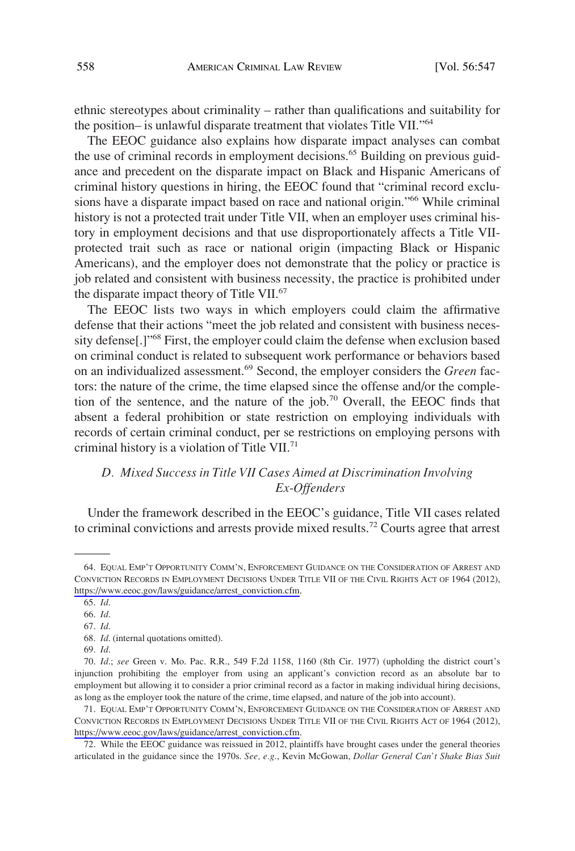ethnic stereotypes about criminality – rather than qualifications and suitability for the position– is unlawful disparate treatment that violates Title VII."64

The EEOC guidance also explains how disparate impact analyses can combat the use of criminal records in employment decisions.<sup>65</sup> Building on previous guidance and precedent on the disparate impact on Black and Hispanic Americans of criminal history questions in hiring, the EEOC found that "criminal record exclusions have a disparate impact based on race and national origin."<sup>66</sup> While criminal history is not a protected trait under Title VII, when an employer uses criminal history in employment decisions and that use disproportionately affects a Title VIIprotected trait such as race or national origin (impacting Black or Hispanic Americans), and the employer does not demonstrate that the policy or practice is job related and consistent with business necessity, the practice is prohibited under the disparate impact theory of Title VII.<sup>67</sup>

The EEOC lists two ways in which employers could claim the affirmative defense that their actions "meet the job related and consistent with business necessity defense<sup>[1]"68</sup> First, the employer could claim the defense when exclusion based on criminal conduct is related to subsequent work performance or behaviors based on an individualized assessment.69 Second, the employer considers the *Green* factors: the nature of the crime, the time elapsed since the offense and/or the completion of the sentence, and the nature of the job.70 Overall, the EEOC finds that absent a federal prohibition or state restriction on employing individuals with records of certain criminal conduct, per se restrictions on employing persons with criminal history is a violation of Title VII.71

# *D. Mixed Success in Title VII Cases Aimed at Discrimination Involving Ex-Offenders*

Under the framework described in the EEOC's guidance, Title VII cases related to criminal convictions and arrests provide mixed results.72 Courts agree that arrest

<sup>64.</sup> EQUAL EMP'T OPPORTUNITY COMM'N, ENFORCEMENT GUIDANCE ON THE CONSIDERATION OF ARREST AND CONVICTION RECORDS IN EMPLOYMENT DECISIONS UNDER TITLE VII OF THE CIVIL RIGHTS ACT OF 1964 (2012), [https://www.eeoc.gov/laws/guidance/arrest\\_conviction.cfm](https://www.eeoc.gov/laws/guidance/arrest_conviction.cfm).

<sup>65.</sup> *Id*.

<sup>66.</sup> *Id*.

<sup>67.</sup> *Id*.

<sup>68.</sup> *Id*. (internal quotations omitted).

<sup>69.</sup> *Id*.

<sup>70.</sup> *Id*.; *see* Green v. Mo. Pac. R.R., 549 F.2d 1158, 1160 (8th Cir. 1977) (upholding the district court's injunction prohibiting the employer from using an applicant's conviction record as an absolute bar to employment but allowing it to consider a prior criminal record as a factor in making individual hiring decisions, as long as the employer took the nature of the crime, time elapsed, and nature of the job into account).

<sup>71.</sup> EQUAL EMP'T OPPORTUNITY COMM'N, ENFORCEMENT GUIDANCE ON THE CONSIDERATION OF ARREST AND CONVICTION RECORDS IN EMPLOYMENT DECISIONS UNDER TITLE VII OF THE CIVIL RIGHTS ACT OF 1964 (2012), [https://www.eeoc.gov/laws/guidance/arrest\\_conviction.cfm](https://www.eeoc.gov/laws/guidance/arrest_conviction.cfm).

<sup>72.</sup> While the EEOC guidance was reissued in 2012, plaintiffs have brought cases under the general theories articulated in the guidance since the 1970s. *See, e.g*., Kevin McGowan, *Dollar General Can't Shake Bias Suit*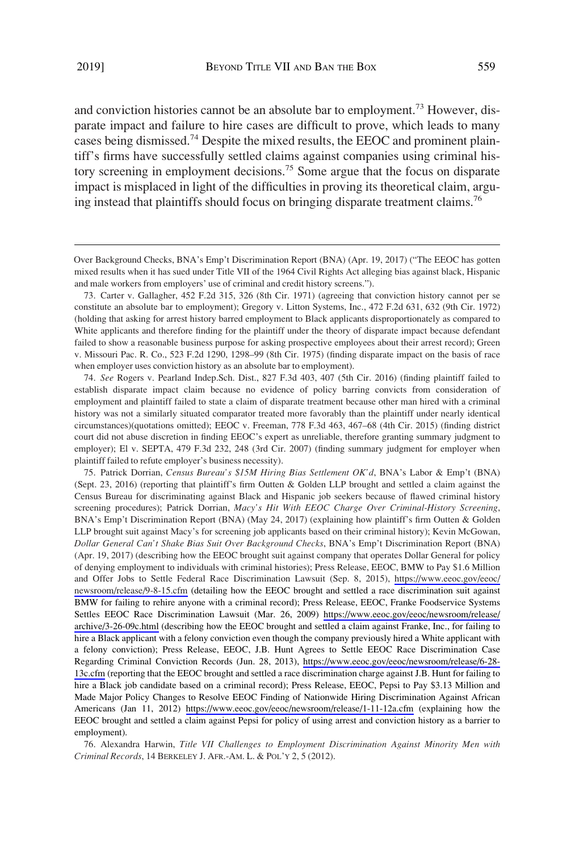and conviction histories cannot be an absolute bar to employment.<sup>73</sup> However, disparate impact and failure to hire cases are difficult to prove, which leads to many cases being dismissed.74 Despite the mixed results, the EEOC and prominent plaintiff's firms have successfully settled claims against companies using criminal history screening in employment decisions.75 Some argue that the focus on disparate impact is misplaced in light of the difficulties in proving its theoretical claim, arguing instead that plaintiffs should focus on bringing disparate treatment claims.<sup>76</sup>

74. *See* Rogers v. Pearland Indep.Sch. Dist., 827 F.3d 403, 407 (5th Cir. 2016) (finding plaintiff failed to establish disparate impact claim because no evidence of policy barring convicts from consideration of employment and plaintiff failed to state a claim of disparate treatment because other man hired with a criminal history was not a similarly situated comparator treated more favorably than the plaintiff under nearly identical circumstances)(quotations omitted); EEOC v. Freeman, 778 F.3d 463, 467–68 (4th Cir. 2015) (finding district court did not abuse discretion in finding EEOC's expert as unreliable, therefore granting summary judgment to employer); El v. SEPTA, 479 F.3d 232, 248 (3rd Cir. 2007) (finding summary judgment for employer when plaintiff failed to refute employer's business necessity).

75. Patrick Dorrian, *Census Bureau's \$15M Hiring Bias Settlement OK'd*, BNA's Labor & Emp't (BNA) (Sept. 23, 2016) (reporting that plaintiff's firm Outten & Golden LLP brought and settled a claim against the Census Bureau for discriminating against Black and Hispanic job seekers because of flawed criminal history screening procedures); Patrick Dorrian, *Macy's Hit With EEOC Charge Over Criminal-History Screening*, BNA's Emp't Discrimination Report (BNA) (May 24, 2017) (explaining how plaintiff's firm Outten & Golden LLP brought suit against Macy's for screening job applicants based on their criminal history); Kevin McGowan, *Dollar General Can't Shake Bias Suit Over Background Checks*, BNA's Emp't Discrimination Report (BNA) (Apr. 19, 2017) (describing how the EEOC brought suit against company that operates Dollar General for policy of denying employment to individuals with criminal histories); Press Release, EEOC, BMW to Pay \$1.6 Million and Offer Jobs to Settle Federal Race Discrimination Lawsuit (Sep. 8, 2015), [https://www.eeoc.gov/eeoc/](https://www.eeoc.gov/eeoc/newsroom/release/9-8-15.cfm) [newsroom/release/9-8-15.cfm](https://www.eeoc.gov/eeoc/newsroom/release/9-8-15.cfm) (detailing how the EEOC brought and settled a race discrimination suit against BMW for failing to rehire anyone with a criminal record); Press Release, EEOC, Franke Foodservice Systems Settles EEOC Race Discrimination Lawsuit (Mar. 26, 2009) [https://www.eeoc.gov/eeoc/newsroom/release/](https://www.eeoc.gov/eeoc/newsroom/release/archive/3-26-09c.html)  [archive/3-26-09c.html](https://www.eeoc.gov/eeoc/newsroom/release/archive/3-26-09c.html) (describing how the EEOC brought and settled a claim against Franke, Inc., for failing to hire a Black applicant with a felony conviction even though the company previously hired a White applicant with a felony conviction); Press Release, EEOC, J.B. Hunt Agrees to Settle EEOC Race Discrimination Case Regarding Criminal Conviction Records (Jun. 28, 2013), [https://www.eeoc.gov/eeoc/newsroom/release/6-28-](https://www.eeoc.gov/eeoc/newsroom/release/6-28-13c.cfm) [13c.cfm](https://www.eeoc.gov/eeoc/newsroom/release/6-28-13c.cfm) (reporting that the EEOC brought and settled a race discrimination charge against J.B. Hunt for failing to hire a Black job candidate based on a criminal record); Press Release, EEOC, Pepsi to Pay \$3.13 Million and Made Major Policy Changes to Resolve EEOC Finding of Nationwide Hiring Discrimination Against African Americans (Jan 11, 2012) <https://www.eeoc.gov/eeoc/newsroom/release/1-11-12a.cfm>(explaining how the EEOC brought and settled a claim against Pepsi for policy of using arrest and conviction history as a barrier to employment).

76. Alexandra Harwin, *Title VII Challenges to Employment Discrimination Against Minority Men with Criminal Records*, 14 BERKELEY J. AFR.-AM. L. & POL'Y 2, 5 (2012).

Over Background Checks, BNA's Emp't Discrimination Report (BNA) (Apr. 19, 2017) ("The EEOC has gotten mixed results when it has sued under Title VII of the 1964 Civil Rights Act alleging bias against black, Hispanic and male workers from employers' use of criminal and credit history screens.").

<sup>73.</sup> Carter v. Gallagher, 452 F.2d 315, 326 (8th Cir. 1971) (agreeing that conviction history cannot per se constitute an absolute bar to employment); Gregory v. Litton Systems, Inc., 472 F.2d 631, 632 (9th Cir. 1972) (holding that asking for arrest history barred employment to Black applicants disproportionately as compared to White applicants and therefore finding for the plaintiff under the theory of disparate impact because defendant failed to show a reasonable business purpose for asking prospective employees about their arrest record); Green v. Missouri Pac. R. Co., 523 F.2d 1290, 1298–99 (8th Cir. 1975) (finding disparate impact on the basis of race when employer uses conviction history as an absolute bar to employment).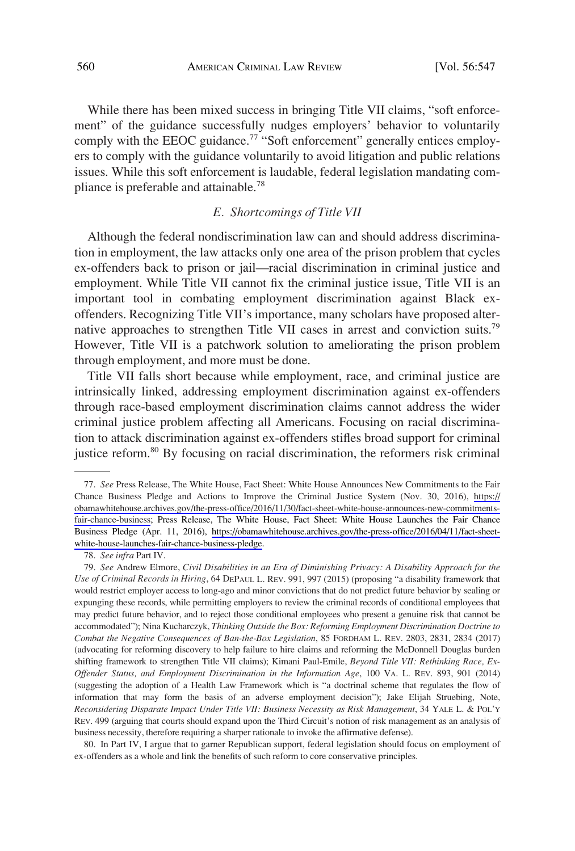While there has been mixed success in bringing Title VII claims, "soft enforcement" of the guidance successfully nudges employers' behavior to voluntarily comply with the EEOC guidance.<sup>77</sup> "Soft enforcement" generally entices employers to comply with the guidance voluntarily to avoid litigation and public relations issues. While this soft enforcement is laudable, federal legislation mandating compliance is preferable and attainable.<sup>78</sup>

## *E. Shortcomings of Title VII*

Although the federal nondiscrimination law can and should address discrimination in employment, the law attacks only one area of the prison problem that cycles ex-offenders back to prison or jail—racial discrimination in criminal justice and employment. While Title VII cannot fix the criminal justice issue, Title VII is an important tool in combating employment discrimination against Black exoffenders. Recognizing Title VII's importance, many scholars have proposed alternative approaches to strengthen Title VII cases in arrest and conviction suits.<sup>79</sup> However, Title VII is a patchwork solution to ameliorating the prison problem through employment, and more must be done.

Title VII falls short because while employment, race, and criminal justice are intrinsically linked, addressing employment discrimination against ex-offenders through race-based employment discrimination claims cannot address the wider criminal justice problem affecting all Americans. Focusing on racial discrimination to attack discrimination against ex-offenders stifles broad support for criminal justice reform.<sup>80</sup> By focusing on racial discrimination, the reformers risk criminal

*See* Press Release, The White House, Fact Sheet: White House Announces New Commitments to the Fair 77. Chance Business Pledge and Actions to Improve the Criminal Justice System (Nov. 30, 2016), [https://](https://obamawhitehouse.archives.gov/the-press-office/2016/11/30/fact-sheet-white-house-announces-new-commitments-fair-chance-business) [obamawhitehouse.archives.gov/the-press-office/2016/11/30/fact-sheet-white-house-announces-new-commitments](https://obamawhitehouse.archives.gov/the-press-office/2016/11/30/fact-sheet-white-house-announces-new-commitments-fair-chance-business)[fair-chance-business](https://obamawhitehouse.archives.gov/the-press-office/2016/11/30/fact-sheet-white-house-announces-new-commitments-fair-chance-business); Press Release, The White House, Fact Sheet: White House Launches the Fair Chance Business Pledge (Apr. 11, 2016), [https://obamawhitehouse.archives.gov/the-press-office/2016/04/11/fact-sheet](https://obamawhitehouse.archives.gov/the-press-office/2016/04/11/fact-sheet-white-house-launches-fair-chance-business-pledge)[white-house-launches-fair-chance-business-pledge.](https://obamawhitehouse.archives.gov/the-press-office/2016/04/11/fact-sheet-white-house-launches-fair-chance-business-pledge)

<sup>78.</sup> *See infra* Part IV.

<sup>79.</sup> *See* Andrew Elmore, *Civil Disabilities in an Era of Diminishing Privacy: A Disability Approach for the Use of Criminal Records in Hiring*, 64 DEPAUL L. REV. 991, 997 (2015) (proposing "a disability framework that would restrict employer access to long-ago and minor convictions that do not predict future behavior by sealing or expunging these records, while permitting employers to review the criminal records of conditional employees that may predict future behavior, and to reject those conditional employees who present a genuine risk that cannot be accommodated"); Nina Kucharczyk, *Thinking Outside the Box: Reforming Employment Discrimination Doctrine to Combat the Negative Consequences of Ban-the-Box Legislation*, 85 FORDHAM L. REV. 2803, 2831, 2834 (2017) (advocating for reforming discovery to help failure to hire claims and reforming the McDonnell Douglas burden shifting framework to strengthen Title VII claims); Kimani Paul-Emile, *Beyond Title VII: Rethinking Race, Ex-Offender Status, and Employment Discrimination in the Information Age*, 100 VA. L. REV. 893, 901 (2014) (suggesting the adoption of a Health Law Framework which is "a doctrinal scheme that regulates the flow of information that may form the basis of an adverse employment decision"); Jake Elijah Struebing, Note, *Reconsidering Disparate Impact Under Title VII: Business Necessity as Risk Management*, 34 YALE L. & POL'Y REV. 499 (arguing that courts should expand upon the Third Circuit's notion of risk management as an analysis of business necessity, therefore requiring a sharper rationale to invoke the affirmative defense).

<sup>80.</sup> In Part IV, I argue that to garner Republican support, federal legislation should focus on employment of ex-offenders as a whole and link the benefits of such reform to core conservative principles.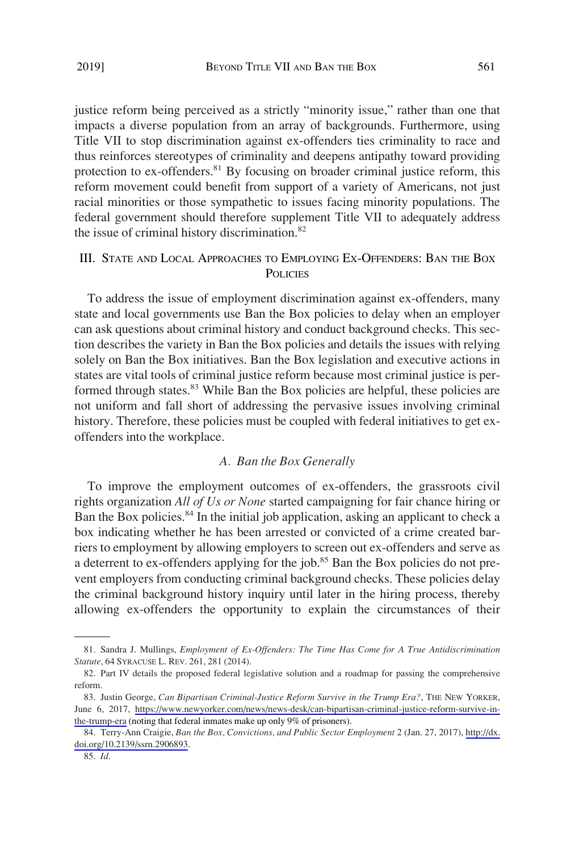justice reform being perceived as a strictly "minority issue," rather than one that impacts a diverse population from an array of backgrounds. Furthermore, using Title VII to stop discrimination against ex-offenders ties criminality to race and thus reinforces stereotypes of criminality and deepens antipathy toward providing protection to ex-offenders.<sup>81</sup> By focusing on broader criminal justice reform, this reform movement could benefit from support of a variety of Americans, not just racial minorities or those sympathetic to issues facing minority populations. The federal government should therefore supplement Title VII to adequately address the issue of criminal history discrimination.<sup>82</sup>

## III. STATE AND LOCAL APPROACHES TO EMPLOYING EX-OFFENDERS: BAN THE BOX **POLICIES**

To address the issue of employment discrimination against ex-offenders, many state and local governments use Ban the Box policies to delay when an employer can ask questions about criminal history and conduct background checks. This section describes the variety in Ban the Box policies and details the issues with relying solely on Ban the Box initiatives. Ban the Box legislation and executive actions in states are vital tools of criminal justice reform because most criminal justice is performed through states.<sup>83</sup> While Ban the Box policies are helpful, these policies are not uniform and fall short of addressing the pervasive issues involving criminal history. Therefore, these policies must be coupled with federal initiatives to get exoffenders into the workplace.

## *A. Ban the Box Generally*

To improve the employment outcomes of ex-offenders, the grassroots civil rights organization *All of Us or None* started campaigning for fair chance hiring or Ban the Box policies.<sup>84</sup> In the initial job application, asking an applicant to check a box indicating whether he has been arrested or convicted of a crime created barriers to employment by allowing employers to screen out ex-offenders and serve as a deterrent to ex-offenders applying for the job.<sup>85</sup> Ban the Box policies do not prevent employers from conducting criminal background checks. These policies delay the criminal background history inquiry until later in the hiring process, thereby allowing ex-offenders the opportunity to explain the circumstances of their

<sup>81.</sup> Sandra J. Mullings, *Employment of Ex-Offenders: The Time Has Come for A True Antidiscrimination Statute*, 64 SYRACUSE L. REV. 261, 281 (2014).

<sup>82.</sup> Part IV details the proposed federal legislative solution and a roadmap for passing the comprehensive reform.

<sup>83.</sup> Justin George, *Can Bipartisan Criminal-Justice Reform Survive in the Trump Era?*, THE NEW YORKER, June 6, 2017, [https://www.newyorker.com/news/news-desk/can-bipartisan-criminal-justice-reform-survive-in](https://www.newyorker.com/news/news-desk/can-bipartisan-criminal-justice-reform-survive-in-the-trump-era)[the-trump-era](https://www.newyorker.com/news/news-desk/can-bipartisan-criminal-justice-reform-survive-in-the-trump-era) (noting that federal inmates make up only 9% of prisoners).

<sup>84.</sup> Terry-Ann Craigie, *Ban the Box, Convictions, and Public Sector Employment* 2 (Jan. 27, 2017), [http://dx.](http://dx.doi.org/10.2139/ssrn.2906893) [doi.org/10.2139/ssrn.2906893.](http://dx.doi.org/10.2139/ssrn.2906893)

<sup>85.</sup> *Id*.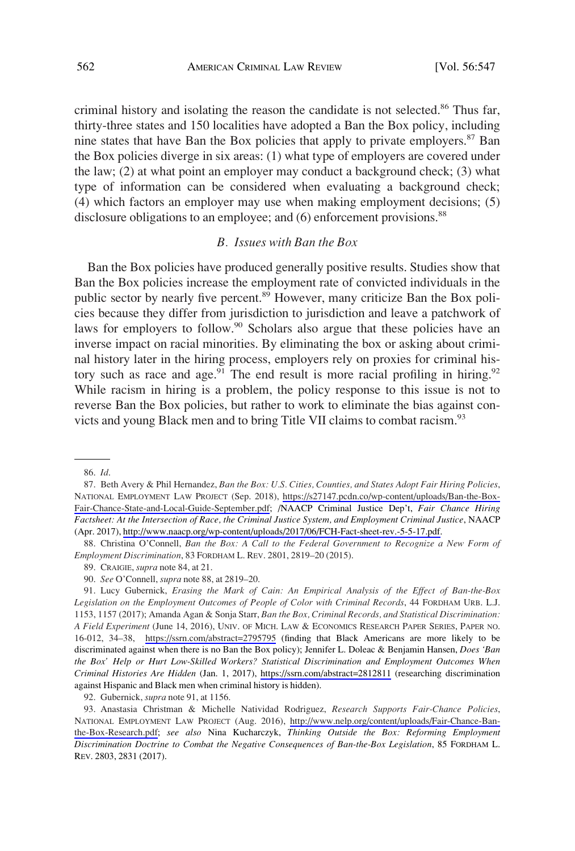criminal history and isolating the reason the candidate is not selected.<sup>86</sup> Thus far, thirty-three states and 150 localities have adopted a Ban the Box policy, including nine states that have Ban the Box policies that apply to private employers.<sup>87</sup> Ban the Box policies diverge in six areas: (1) what type of employers are covered under the law; (2) at what point an employer may conduct a background check; (3) what type of information can be considered when evaluating a background check; (4) which factors an employer may use when making employment decisions; (5) disclosure obligations to an employee; and (6) enforcement provisions.<sup>88</sup>

### *B. Issues with Ban the Box*

Ban the Box policies have produced generally positive results. Studies show that Ban the Box policies increase the employment rate of convicted individuals in the public sector by nearly five percent.<sup>89</sup> However, many criticize Ban the Box policies because they differ from jurisdiction to jurisdiction and leave a patchwork of laws for employers to follow.<sup>90</sup> Scholars also argue that these policies have an inverse impact on racial minorities. By eliminating the box or asking about criminal history later in the hiring process, employers rely on proxies for criminal history such as race and age.<sup>91</sup> The end result is more racial profiling in hiring.<sup>92</sup> While racism in hiring is a problem, the policy response to this issue is not to reverse Ban the Box policies, but rather to work to eliminate the bias against convicts and young Black men and to bring Title VII claims to combat racism.<sup>93</sup>

92. Gubernick, *supra* note 91, at 1156.

Anastasia Christman & Michelle Natividad Rodriguez, *Research Supports Fair-Chance Policies*, 93. NATIONAL EMPLOYMENT LAW PROJECT (Aug. 2016), [http://www.nelp.org/content/uploads/Fair-Chance-Ban](http://www.nelp.org/content/uploads/Fair-Chance-Ban-the-Box-Research.pdf)[the-Box-Research.pdf](http://www.nelp.org/content/uploads/Fair-Chance-Ban-the-Box-Research.pdf); *see also* Nina Kucharczyk, *Thinking Outside the Box: Reforming Employment Discrimination Doctrine to Combat the Negative Consequences of Ban-the-Box Legislation*, 85 FORDHAM L. REV. 2803, 2831 (2017).

<sup>86.</sup> *Id*.

Beth Avery & Phil Hernandez, *Ban the Box: U.S. Cities, Counties, and States Adopt Fair Hiring Policies*, 87. NATIONAL EMPLOYMENT LAW PROJECT (Sep. 2018), [https://s27147.pcdn.co/wp-content/uploads/Ban-the-Box-](https://s27147.pcdn.co/wp-content/uploads/Ban-the-Box-Fair-Chance-State-and-Local-Guide-September.pdf)[Fair-Chance-State-and-Local-Guide-September.pdf](https://s27147.pcdn.co/wp-content/uploads/Ban-the-Box-Fair-Chance-State-and-Local-Guide-September.pdf); /NAACP Criminal Justice Dep't, *Fair Chance Hiring Factsheet: At the Intersection of Race, the Criminal Justice System, and Employment Criminal Justice*, NAACP (Apr. 2017),<http://www.naacp.org/wp-content/uploads/2017/06/FCH-Fact-sheet-rev.-5-5-17.pdf>.

<sup>88.</sup> Christina O'Connell, *Ban the Box: A Call to the Federal Government to Recognize a New Form of Employment Discrimination*, 83 FORDHAM L. REV. 2801, 2819–20 (2015).

<sup>89.</sup> CRAIGIE, *supra* note 84, at 21.

<sup>90.</sup> *See* O'Connell, *supra* note 88, at 2819–20.

<sup>91.</sup> Lucy Gubernick, *Erasing the Mark of Cain: An Empirical Analysis of the Effect of Ban-the-Box Legislation on the Employment Outcomes of People of Color with Criminal Records*, 44 FORDHAM URB. L.J. 1153, 1157 (2017); Amanda Agan & Sonja Starr, *Ban the Box, Criminal Records, and Statistical Discrimination: A Field Experiment* (June 14, 2016), UNIV. OF MICH. LAW & ECONOMICS RESEARCH PAPER SERIES, PAPER NO. 16-012, 34–38, <https://ssrn.com/abstract=2795795> (finding that Black Americans are more likely to be discriminated against when there is no Ban the Box policy); Jennifer L. Doleac & Benjamin Hansen, *Does 'Ban the Box' Help or Hurt Low-Skilled Workers? Statistical Discrimination and Employment Outcomes When Criminal Histories Are Hidden* (Jan. 1, 2017), <https://ssrn.com/abstract=2812811>(researching discrimination against Hispanic and Black men when criminal history is hidden).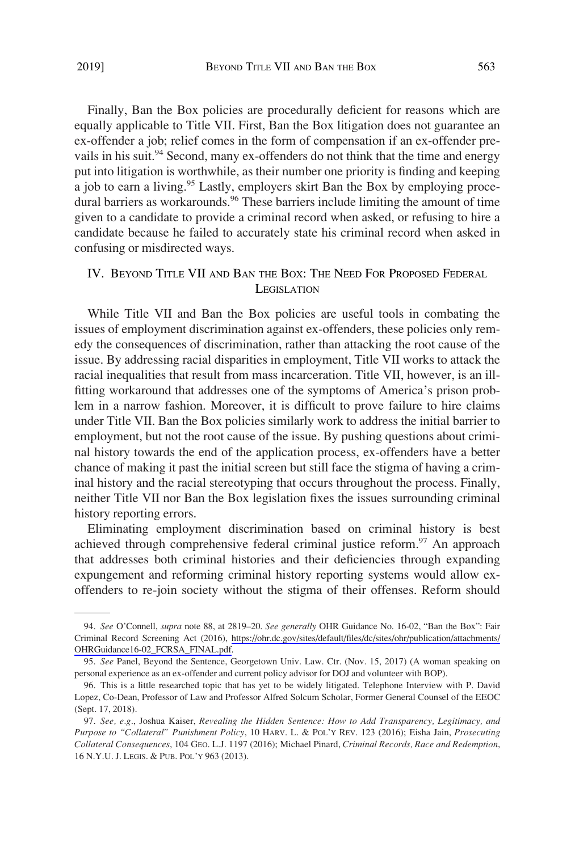Finally, Ban the Box policies are procedurally deficient for reasons which are equally applicable to Title VII. First, Ban the Box litigation does not guarantee an ex-offender a job; relief comes in the form of compensation if an ex-offender prevails in his suit.<sup>94</sup> Second, many ex-offenders do not think that the time and energy put into litigation is worthwhile, as their number one priority is finding and keeping a job to earn a living.<sup>95</sup> Lastly, employers skirt Ban the Box by employing procedural barriers as workarounds.<sup>96</sup> These barriers include limiting the amount of time given to a candidate to provide a criminal record when asked, or refusing to hire a candidate because he failed to accurately state his criminal record when asked in confusing or misdirected ways.

# IV. BEYOND TITLE VII AND BAN THE BOX: THE NEED FOR PROPOSED FEDERAL **LEGISLATION**

While Title VII and Ban the Box policies are useful tools in combating the issues of employment discrimination against ex-offenders, these policies only remedy the consequences of discrimination, rather than attacking the root cause of the issue. By addressing racial disparities in employment, Title VII works to attack the racial inequalities that result from mass incarceration. Title VII, however, is an illfitting workaround that addresses one of the symptoms of America's prison problem in a narrow fashion. Moreover, it is difficult to prove failure to hire claims under Title VII. Ban the Box policies similarly work to address the initial barrier to employment, but not the root cause of the issue. By pushing questions about criminal history towards the end of the application process, ex-offenders have a better chance of making it past the initial screen but still face the stigma of having a criminal history and the racial stereotyping that occurs throughout the process. Finally, neither Title VII nor Ban the Box legislation fixes the issues surrounding criminal history reporting errors.

Eliminating employment discrimination based on criminal history is best achieved through comprehensive federal criminal justice reform.<sup>97</sup> An approach that addresses both criminal histories and their deficiencies through expanding expungement and reforming criminal history reporting systems would allow exoffenders to re-join society without the stigma of their offenses. Reform should

*See* O'Connell, *supra* note 88, at 2819–20. *See generally* OHR Guidance No. 16-02, "Ban the Box": Fair 94. Criminal Record Screening Act (2016), [https://ohr.dc.gov/sites/default/files/dc/sites/ohr/publication/attachments/](https://ohr.dc.gov/sites/default/files/dc/sites/ohr/publication/attachments/OHRGuidance16-02_FCRSA_FINAL.pdf)  [OHRGuidance16-02\\_FCRSA\\_FINAL.pdf.](https://ohr.dc.gov/sites/default/files/dc/sites/ohr/publication/attachments/OHRGuidance16-02_FCRSA_FINAL.pdf)

<sup>95.</sup> *See* Panel, Beyond the Sentence, Georgetown Univ. Law. Ctr. (Nov. 15, 2017) (A woman speaking on personal experience as an ex-offender and current policy advisor for DOJ and volunteer with BOP).

<sup>96.</sup> This is a little researched topic that has yet to be widely litigated. Telephone Interview with P. David Lopez, Co-Dean, Professor of Law and Professor Alfred Solcum Scholar, Former General Counsel of the EEOC (Sept. 17, 2018).

<sup>97.</sup> *See, e.g*., Joshua Kaiser, *Revealing the Hidden Sentence: How to Add Transparency, Legitimacy, and Purpose to "Collateral" Punishment Policy*, 10 HARV. L. & POL'Y REV. 123 (2016); Eisha Jain, *Prosecuting Collateral Consequences*, 104 GEO. L.J. 1197 (2016); Michael Pinard, *Criminal Records, Race and Redemption*, 16 N.Y.U. J. LEGIS. & PUB. POL'Y 963 (2013).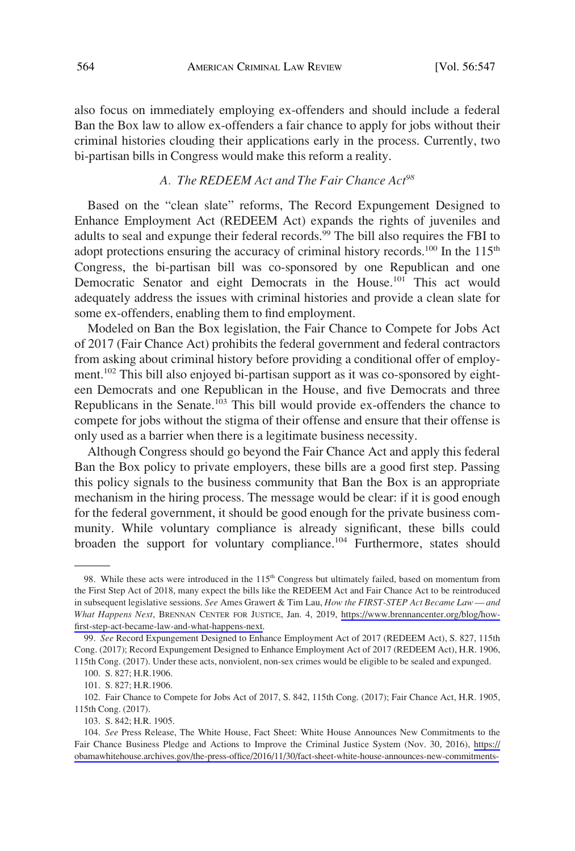also focus on immediately employing ex-offenders and should include a federal Ban the Box law to allow ex-offenders a fair chance to apply for jobs without their criminal histories clouding their applications early in the process. Currently, two bi-partisan bills in Congress would make this reform a reality.

# *A. The REDEEM Act and The Fair Chance Act<sup>98</sup>*

Based on the "clean slate" reforms, The Record Expungement Designed to Enhance Employment Act (REDEEM Act) expands the rights of juveniles and adults to seal and expunge their federal records.<sup>99</sup> The bill also requires the FBI to adopt protections ensuring the accuracy of criminal history records.<sup>100</sup> In the  $115<sup>th</sup>$ Congress, the bi-partisan bill was co-sponsored by one Republican and one Democratic Senator and eight Democrats in the House.<sup>101</sup> This act would adequately address the issues with criminal histories and provide a clean slate for some ex-offenders, enabling them to find employment.

Modeled on Ban the Box legislation, the Fair Chance to Compete for Jobs Act of 2017 (Fair Chance Act) prohibits the federal government and federal contractors from asking about criminal history before providing a conditional offer of employment.<sup>102</sup> This bill also enjoyed bi-partisan support as it was co-sponsored by eighteen Democrats and one Republican in the House, and five Democrats and three Republicans in the Senate.<sup>103</sup> This bill would provide ex-offenders the chance to compete for jobs without the stigma of their offense and ensure that their offense is only used as a barrier when there is a legitimate business necessity.

Although Congress should go beyond the Fair Chance Act and apply this federal Ban the Box policy to private employers, these bills are a good first step. Passing this policy signals to the business community that Ban the Box is an appropriate mechanism in the hiring process. The message would be clear: if it is good enough for the federal government, it should be good enough for the private business community. While voluntary compliance is already significant, these bills could broaden the support for voluntary compliance.<sup>104</sup> Furthermore, states should

<sup>98.</sup> While these acts were introduced in the 115<sup>th</sup> Congress but ultimately failed, based on momentum from the First Step Act of 2018, many expect the bills like the REDEEM Act and Fair Chance Act to be reintroduced in subsequent legislative sessions. *See* Ames Grawert & Tim Lau, *How the FIRST-STEP Act Became Law — and What Happens Next*, BRENNAN CENTER FOR JUSTICE, Jan. 4, 2019, [https://www.brennancenter.org/blog/how](https://www.brennancenter.org/blog/how-first-step-act-became-law-and-what-happens-next)[first-step-act-became-law-and-what-happens-next.](https://www.brennancenter.org/blog/how-first-step-act-became-law-and-what-happens-next)

<sup>99.</sup> *See* Record Expungement Designed to Enhance Employment Act of 2017 (REDEEM Act), S. 827, 115th Cong. (2017); Record Expungement Designed to Enhance Employment Act of 2017 (REDEEM Act), H.R. 1906, 115th Cong. (2017). Under these acts, nonviolent, non-sex crimes would be eligible to be sealed and expunged.

<sup>100.</sup> S. 827; H.R.1906.

<sup>101.</sup> S. 827; H.R.1906.

<sup>102.</sup> Fair Chance to Compete for Jobs Act of 2017, S. 842, 115th Cong. (2017); Fair Chance Act, H.R. 1905, 115th Cong. (2017).

<sup>103.</sup> S. 842; H.R. 1905.

<sup>104.</sup> See Press Release, The White House, Fact Sheet: White House Announces New Commitments to the Fair Chance Business Pledge and Actions to Improve the Criminal Justice System (Nov. 30, 2016), [https://](https://obamawhitehouse.archives.gov/the-press-office/2016/11/30/fact-sheet-white-house-announces-new-commitments-fair-chance-business) [obamawhitehouse.archives.gov/the-press-office/2016/11/30/fact-sheet-white-house-announces-new-commitments-](https://obamawhitehouse.archives.gov/the-press-office/2016/11/30/fact-sheet-white-house-announces-new-commitments-fair-chance-business)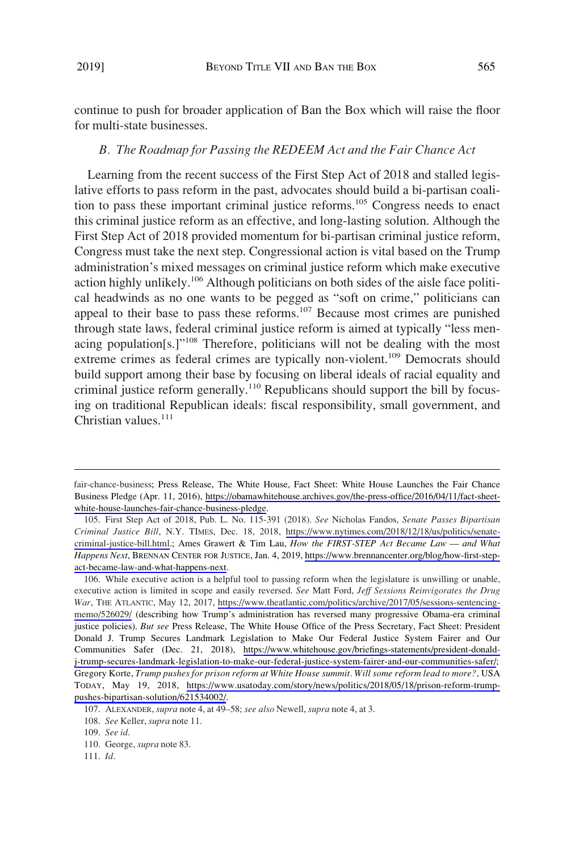continue to push for broader application of Ban the Box which will raise the floor for multi-state businesses.

#### *B. The Roadmap for Passing the REDEEM Act and the Fair Chance Act*

Learning from the recent success of the First Step Act of 2018 and stalled legislative efforts to pass reform in the past, advocates should build a bi-partisan coalition to pass these important criminal justice reforms.<sup>105</sup> Congress needs to enact this criminal justice reform as an effective, and long-lasting solution. Although the First Step Act of 2018 provided momentum for bi-partisan criminal justice reform, Congress must take the next step. Congressional action is vital based on the Trump administration's mixed messages on criminal justice reform which make executive action highly unlikely.<sup>106</sup> Although politicians on both sides of the aisle face political headwinds as no one wants to be pegged as "soft on crime," politicians can appeal to their base to pass these reforms.<sup>107</sup> Because most crimes are punished through state laws, federal criminal justice reform is aimed at typically "less menacing population[s.]"108 Therefore, politicians will not be dealing with the most extreme crimes as federal crimes are typically non-violent.<sup>109</sup> Democrats should build support among their base by focusing on liberal ideals of racial equality and criminal justice reform generally.<sup>110</sup> Republicans should support the bill by focusing on traditional Republican ideals: fiscal responsibility, small government, and Christian values. $111$ 

fair-chance-business; Press Release, The White House, Fact Sheet: White House Launches the Fair Chance Business Pledge (Apr. 11, 2016), [https://obamawhitehouse.archives.gov/the-press-office/2016/04/11/fact-sheet](https://obamawhitehouse.archives.gov/the-press-office/2016/04/11/fact-sheet-white-house-launches-fair-chance-business-pledge)[white-house-launches-fair-chance-business-pledge](https://obamawhitehouse.archives.gov/the-press-office/2016/04/11/fact-sheet-white-house-launches-fair-chance-business-pledge).

First Step Act of 2018, Pub. L. No. 115-391 (2018). *See* Nicholas Fandos, *Senate Passes Bipartisan*  105. *Criminal Justice Bill*, N.Y. TIMES, Dec. 18, 2018, [https://www.nytimes.com/2018/12/18/us/politics/senate](https://www.nytimes.com/2018/12/18/us/politics/senate-criminal-justice-bill.html)[criminal-justice-bill.html](https://www.nytimes.com/2018/12/18/us/politics/senate-criminal-justice-bill.html).; Ames Grawert & Tim Lau, *How the FIRST-STEP Act Became Law — and What Happens Next*, BRENNAN CENTER FOR JUSTICE, Jan. 4, 2019, [https://www.brennancenter.org/blog/how-first-step](https://www.brennancenter.org/blog/how-first-step-act-became-law-and-what-happens-next)[act-became-law-and-what-happens-next](https://www.brennancenter.org/blog/how-first-step-act-became-law-and-what-happens-next).

<sup>106.</sup> While executive action is a helpful tool to passing reform when the legislature is unwilling or unable, executive action is limited in scope and easily reversed. *See* Matt Ford, *Jeff Sessions Reinvigorates the Drug War*, THE ATLANTIC, May 12, 2017, [https://www.theatlantic.com/politics/archive/2017/05/sessions-sentencing](https://www.theatlantic.com/politics/archive/2017/05/sessions-sentencing-memo/526029/)[memo/526029/](https://www.theatlantic.com/politics/archive/2017/05/sessions-sentencing-memo/526029/) (describing how Trump's administration has reversed many progressive Obama-era criminal justice policies). *But see* Press Release, The White House Office of the Press Secretary, Fact Sheet: President Donald J. Trump Secures Landmark Legislation to Make Our Federal Justice System Fairer and Our Communities Safer (Dec. 21, 2018), [https://www.whitehouse.gov/briefings-statements/president-donald](https://www.whitehouse.gov/briefings-statements/president-donald-j-trump-secures-landmark-legislation-to-make-our-federal-justice-system-fairer-and-our-communities-safer/)[j-trump-secures-landmark-legislation-to-make-our-federal-justice-system-fairer-and-our-communities-safer/;](https://www.whitehouse.gov/briefings-statements/president-donald-j-trump-secures-landmark-legislation-to-make-our-federal-justice-system-fairer-and-our-communities-safer/) Gregory Korte, *Trump pushes for prison reform at White House summit. Will some reform lead to more?*, USA TODAY, May 19, 2018, [https://www.usatoday.com/story/news/politics/2018/05/18/prison-reform-trump](https://www.usatoday.com/story/news/politics/2018/05/18/prison-reform-trump-pushes-bipartisan-solution/621534002/)[pushes-bipartisan-solution/621534002/](https://www.usatoday.com/story/news/politics/2018/05/18/prison-reform-trump-pushes-bipartisan-solution/621534002/).

<sup>107.</sup> ALEXANDER, *supra* note 4, at 49–58; *see also* Newell, *supra* note 4, at 3.

<sup>108.</sup> *See* Keller, *supra* note 11.

<sup>109.</sup> *See id*.

<sup>110.</sup> George, *supra* note 83.

<sup>111.</sup> *Id*.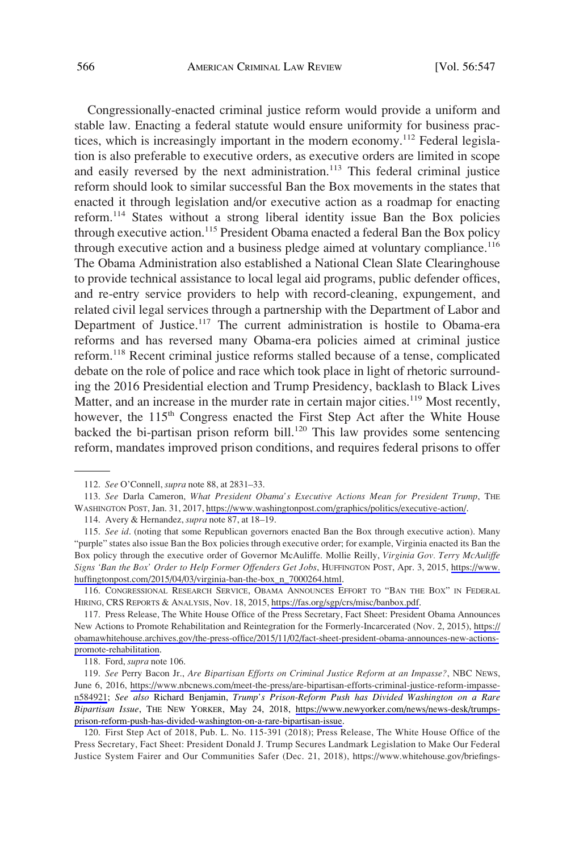Congressionally-enacted criminal justice reform would provide a uniform and stable law. Enacting a federal statute would ensure uniformity for business practices, which is increasingly important in the modern economy.<sup>112</sup> Federal legislation is also preferable to executive orders, as executive orders are limited in scope and easily reversed by the next administration.<sup>113</sup> This federal criminal justice reform should look to similar successful Ban the Box movements in the states that enacted it through legislation and/or executive action as a roadmap for enacting reform.114 States without a strong liberal identity issue Ban the Box policies through executive action.<sup>115</sup> President Obama enacted a federal Ban the Box policy through executive action and a business pledge aimed at voluntary compliance.<sup>116</sup> The Obama Administration also established a National Clean Slate Clearinghouse to provide technical assistance to local legal aid programs, public defender offices, and re-entry service providers to help with record-cleaning, expungement, and related civil legal services through a partnership with the Department of Labor and Department of Justice.<sup>117</sup> The current administration is hostile to Obama-era reforms and has reversed many Obama-era policies aimed at criminal justice reform.118 Recent criminal justice reforms stalled because of a tense, complicated debate on the role of police and race which took place in light of rhetoric surrounding the 2016 Presidential election and Trump Presidency, backlash to Black Lives Matter, and an increase in the murder rate in certain major cities.<sup>119</sup> Most recently, however, the 115<sup>th</sup> Congress enacted the First Step Act after the White House backed the bi-partisan prison reform bill.<sup>120</sup> This law provides some sentencing reform, mandates improved prison conditions, and requires federal prisons to offer

116. CONGRESSIONAL RESEARCH SERVICE, OBAMA ANNOUNCES EFFORT TO "BAN THE BOX" IN FEDERAL HIRING, CRS REPORTS & ANALYSIS, Nov. 18, 2015,<https://fas.org/sgp/crs/misc/banbox.pdf>.

117. Press Release, The White House Office of the Press Secretary, Fact Sheet: President Obama Announces New Actions to Promote Rehabilitation and Reintegration for the Formerly-Incarcerated (Nov. 2, 2015), [https://](https://obamawhitehouse.archives.gov/the-press-office/2015/11/02/fact-sheet-president-obama-announces-new-actions-promote-rehabilitation) [obamawhitehouse.archives.gov/the-press-office/2015/11/02/fact-sheet-president-obama-announces-new-actions](https://obamawhitehouse.archives.gov/the-press-office/2015/11/02/fact-sheet-president-obama-announces-new-actions-promote-rehabilitation)[promote-rehabilitation.](https://obamawhitehouse.archives.gov/the-press-office/2015/11/02/fact-sheet-president-obama-announces-new-actions-promote-rehabilitation)

118. Ford, *supra* note 106.

*See* Perry Bacon Jr., *Are Bipartisan Efforts on Criminal Justice Reform at an Impasse?*, NBC NEWS, 119. June 6, 2016, [https://www.nbcnews.com/meet-the-press/are-bipartisan-efforts-criminal-justice-reform-impasse](https://www.nbcnews.com/meet-the-press/are-bipartisan-efforts-criminal-justice-reform-impasse-n584921)[n584921;](https://www.nbcnews.com/meet-the-press/are-bipartisan-efforts-criminal-justice-reform-impasse-n584921) *See also* Richard Benjamin, *Trump's Prison-Reform Push has Divided Washington on a Rare Bipartisan Issue*, THE NEW YORKER, May 24, 2018, [https://www.newyorker.com/news/news-desk/trumps](https://www.newyorker.com/news/news-desk/trumps-prison-reform-push-has-divided-washington-on-a-rare-bipartisan-issue)[prison-reform-push-has-divided-washington-on-a-rare-bipartisan-issue](https://www.newyorker.com/news/news-desk/trumps-prison-reform-push-has-divided-washington-on-a-rare-bipartisan-issue).

120. First Step Act of 2018, Pub. L. No. 115-391 (2018); Press Release, The White House Office of the Press Secretary, Fact Sheet: President Donald J. Trump Secures Landmark Legislation to Make Our Federal Justice System Fairer and Our Communities Safer (Dec. 21, 2018), https://www.whitehouse.gov/briefings-

<sup>112.</sup> *See* O'Connell, *supra* note 88, at 2831–33.

<sup>113.</sup> See Darla Cameron, What President Obama's Executive Actions Mean for President Trump, THE WASHINGTON POST, Jan. 31, 2017,<https://www.washingtonpost.com/graphics/politics/executive-action/>.

<sup>114.</sup> Avery & Hernandez, *supra* note 87, at 18–19.

<sup>115.</sup> See id. (noting that some Republican governors enacted Ban the Box through executive action). Many "purple" states also issue Ban the Box policies through executive order; for example, Virginia enacted its Ban the Box policy through the executive order of Governor McAuliffe. Mollie Reilly, *Virginia Gov. Terry McAuliffe Signs 'Ban the Box' Order to Help Former Offenders Get Jobs*, HUFFINGTON POST, Apr. 3, 2015, [https://www.](https://www.huffingtonpost.com/2015/04/03/virginia-ban-the-box_n_7000264.html) [huffingtonpost.com/2015/04/03/virginia-ban-the-box\\_n\\_7000264.html](https://www.huffingtonpost.com/2015/04/03/virginia-ban-the-box_n_7000264.html).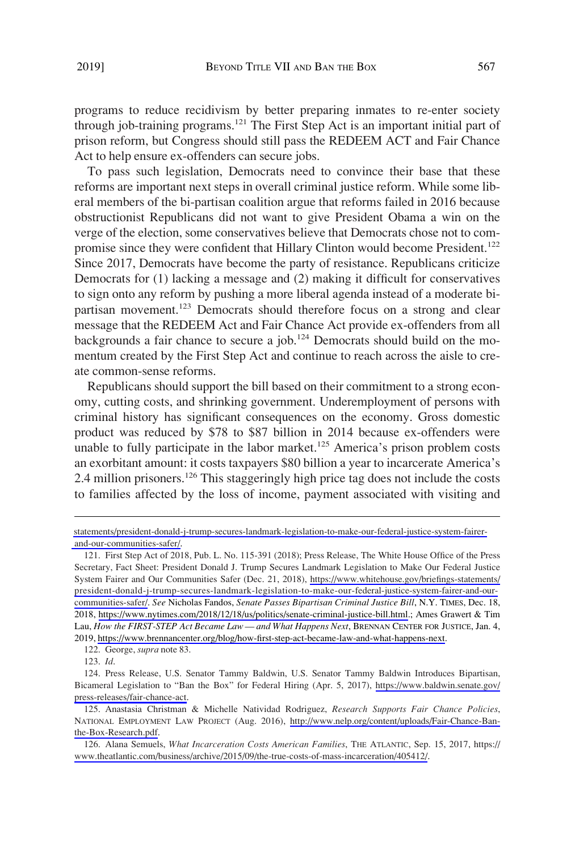programs to reduce recidivism by better preparing inmates to re-enter society through job-training programs.<sup>121</sup> The First Step Act is an important initial part of prison reform, but Congress should still pass the REDEEM ACT and Fair Chance Act to help ensure ex-offenders can secure jobs.

To pass such legislation, Democrats need to convince their base that these reforms are important next steps in overall criminal justice reform. While some liberal members of the bi-partisan coalition argue that reforms failed in 2016 because obstructionist Republicans did not want to give President Obama a win on the verge of the election, some conservatives believe that Democrats chose not to compromise since they were confident that Hillary Clinton would become President.<sup>122</sup> Since 2017, Democrats have become the party of resistance. Republicans criticize Democrats for (1) lacking a message and (2) making it difficult for conservatives to sign onto any reform by pushing a more liberal agenda instead of a moderate bipartisan movement.<sup>123</sup> Democrats should therefore focus on a strong and clear message that the REDEEM Act and Fair Chance Act provide ex-offenders from all backgrounds a fair chance to secure a job.<sup>124</sup> Democrats should build on the momentum created by the First Step Act and continue to reach across the aisle to create common-sense reforms.

Republicans should support the bill based on their commitment to a strong economy, cutting costs, and shrinking government. Underemployment of persons with criminal history has significant consequences on the economy. Gross domestic product was reduced by \$78 to \$87 billion in 2014 because ex-offenders were unable to fully participate in the labor market.<sup>125</sup> America's prison problem costs an exorbitant amount: it costs taxpayers \$80 billion a year to incarcerate America's 2.4 million prisoners.<sup>126</sup> This staggeringly high price tag does not include the costs to families affected by the loss of income, payment associated with visiting and

122. George, *supra* note 83.

[statements/president-donald-j-trump-secures-landmark-legislation-to-make-our-federal-justice-system-fairer](https://www.whitehouse.gov/briefings-statements/president-donald-j-trump-secures-landmark-legislation-to-make-our-federal-justice-system-fairer-and-our-communities-safer/)[and-our-communities-safer/](https://www.whitehouse.gov/briefings-statements/president-donald-j-trump-secures-landmark-legislation-to-make-our-federal-justice-system-fairer-and-our-communities-safer/).

<sup>121.</sup> First Step Act of 2018, Pub. L. No. 115-391 (2018); Press Release, The White House Office of the Press Secretary, Fact Sheet: President Donald J. Trump Secures Landmark Legislation to Make Our Federal Justice System Fairer and Our Communities Safer (Dec. 21, 2018), [https://www.whitehouse.gov/briefings-statements/](https://www.whitehouse.gov/briefings-statements/president-donald-j-trump-secures-landmark-legislation-to-make-our-federal-justice-system-fairer-and-our-communities-safer/) [president-donald-j-trump-secures-landmark-legislation-to-make-our-federal-justice-system-fairer-and-our](https://www.whitehouse.gov/briefings-statements/president-donald-j-trump-secures-landmark-legislation-to-make-our-federal-justice-system-fairer-and-our-communities-safer/)[communities-safer/.](https://www.whitehouse.gov/briefings-statements/president-donald-j-trump-secures-landmark-legislation-to-make-our-federal-justice-system-fairer-and-our-communities-safer/) *See* Nicholas Fandos, *Senate Passes Bipartisan Criminal Justice Bill*, N.Y. TIMES, Dec. 18, 2018, <https://www.nytimes.com/2018/12/18/us/politics/senate-criminal-justice-bill.html>.; Ames Grawert & Tim Lau, *How the FIRST-STEP Act Became Law — and What Happens Next*, BRENNAN CENTER FOR JUSTICE, Jan. 4, 2019, <https://www.brennancenter.org/blog/how-first-step-act-became-law-and-what-happens-next>.

<sup>123.</sup> *Id*.

<sup>124.</sup> Press Release, U.S. Senator Tammy Baldwin, U.S. Senator Tammy Baldwin Introduces Bipartisan, Bicameral Legislation to "Ban the Box" for Federal Hiring (Apr. 5, 2017), [https://www.baldwin.senate.gov/](https://www.baldwin.senate.gov/press-releases/fair-chance-act)  [press-releases/fair-chance-act.](https://www.baldwin.senate.gov/press-releases/fair-chance-act)

<sup>125.</sup> Anastasia Christman & Michelle Natividad Rodriguez, Research Supports Fair Chance Policies, NATIONAL EMPLOYMENT LAW PROJECT (Aug. 2016), [http://www.nelp.org/content/uploads/Fair-Chance-Ban](http://www.nelp.org/content/uploads/Fair-Chance-Ban-the-Box-Research.pdf)[the-Box-Research.pdf](http://www.nelp.org/content/uploads/Fair-Chance-Ban-the-Box-Research.pdf).

<sup>126.</sup> Alana Semuels, *What Incarceration Costs American Families*, THE ATLANTIC, Sep. 15, 2017, https:// [www.theatlantic.com/business/archive/2015/09/the-true-costs-of-mass-incarceration/405412/.](https://www.theatlantic.com/business/archive/2015/09/the-true-costs-of-mass-incarceration/405412/)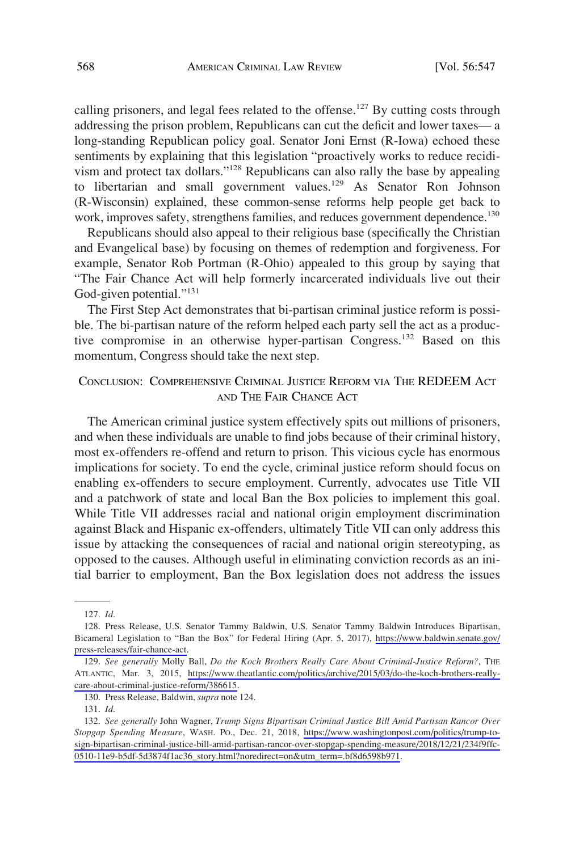calling prisoners, and legal fees related to the offense.<sup>127</sup> By cutting costs through addressing the prison problem, Republicans can cut the deficit and lower taxes— a long-standing Republican policy goal. Senator Joni Ernst (R-Iowa) echoed these sentiments by explaining that this legislation "proactively works to reduce recidivism and protect tax dollars."128 Republicans can also rally the base by appealing to libertarian and small government values.<sup>129</sup> As Senator Ron Johnson (R-Wisconsin) explained, these common-sense reforms help people get back to work, improves safety, strengthens families, and reduces government dependence.<sup>130</sup>

Republicans should also appeal to their religious base (specifically the Christian and Evangelical base) by focusing on themes of redemption and forgiveness. For example, Senator Rob Portman (R-Ohio) appealed to this group by saying that "The Fair Chance Act will help formerly incarcerated individuals live out their God-given potential."<sup>131</sup>

The First Step Act demonstrates that bi-partisan criminal justice reform is possible. The bi-partisan nature of the reform helped each party sell the act as a productive compromise in an otherwise hyper-partisan Congress.<sup>132</sup> Based on this momentum, Congress should take the next step.

# CONCLUSION: COMPREHENSIVE CRIMINAL JUSTICE REFORM VIA THE REDEEM ACT AND THE FAIR CHANCE ACT

The American criminal justice system effectively spits out millions of prisoners, and when these individuals are unable to find jobs because of their criminal history, most ex-offenders re-offend and return to prison. This vicious cycle has enormous implications for society. To end the cycle, criminal justice reform should focus on enabling ex-offenders to secure employment. Currently, advocates use Title VII and a patchwork of state and local Ban the Box policies to implement this goal. While Title VII addresses racial and national origin employment discrimination against Black and Hispanic ex-offenders, ultimately Title VII can only address this issue by attacking the consequences of racial and national origin stereotyping, as opposed to the causes. Although useful in eliminating conviction records as an initial barrier to employment, Ban the Box legislation does not address the issues

<sup>127.</sup> *Id*.

<sup>128.</sup> Press Release, U.S. Senator Tammy Baldwin, U.S. Senator Tammy Baldwin Introduces Bipartisan, Bicameral Legislation to "Ban the Box" for Federal Hiring (Apr. 5, 2017), [https://www.baldwin.senate.gov/](https://www.baldwin.senate.gov/press-releases/fair-chance-act)  [press-releases/fair-chance-act.](https://www.baldwin.senate.gov/press-releases/fair-chance-act)

*See generally* Molly Ball, *Do the Koch Brothers Really Care About Criminal-Justice Reform?*, THE 129. ATLANTIC, Mar. 3, 2015, [https://www.theatlantic.com/politics/archive/2015/03/do-the-koch-brothers-really](https://www.theatlantic.com/politics/archive/2015/03/do-the-koch-brothers-really-care-about-criminal-justice-reform/386615)[care-about-criminal-justice-reform/386615](https://www.theatlantic.com/politics/archive/2015/03/do-the-koch-brothers-really-care-about-criminal-justice-reform/386615).

<sup>130.</sup> Press Release, Baldwin, *supra* note 124.

<sup>131.</sup> *Id*.

*See generally* John Wagner, *Trump Signs Bipartisan Criminal Justice Bill Amid Partisan Rancor Over*  132. *Stopgap Spending Measure*, WASH. PO., Dec. 21, 2018, [https://www.washingtonpost.com/politics/trump-to](https://www.washingtonpost.com/politics/trump-to-sign-bipartisan-criminal-justice-bill-amid-partisan-rancor-over-stopgap-spending-measure/2018/12/21/234f9ffc-0510-11e9-b5df-5d3874f1ac36_story.html?noredirect=on&utm_term=.bf8d6598b971)[sign-bipartisan-criminal-justice-bill-amid-partisan-rancor-over-stopgap-spending-measure/2018/12/21/234f9ffc-](https://www.washingtonpost.com/politics/trump-to-sign-bipartisan-criminal-justice-bill-amid-partisan-rancor-over-stopgap-spending-measure/2018/12/21/234f9ffc-0510-11e9-b5df-5d3874f1ac36_story.html?noredirect=on&utm_term=.bf8d6598b971)[0510-11e9-b5df-5d3874f1ac36\\_story.html?noredirect=on&utm\\_term=.bf8d6598b971](https://www.washingtonpost.com/politics/trump-to-sign-bipartisan-criminal-justice-bill-amid-partisan-rancor-over-stopgap-spending-measure/2018/12/21/234f9ffc-0510-11e9-b5df-5d3874f1ac36_story.html?noredirect=on&utm_term=.bf8d6598b971).